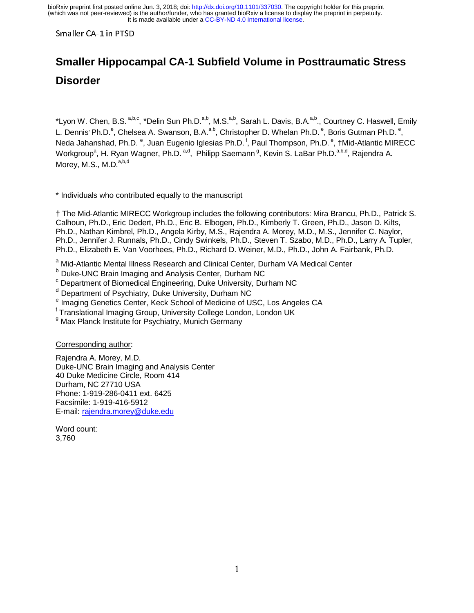# **Smaller Hippocampal CA-1 Subfield Volume in Posttraumatic Stress Disorder**

\*Lyon W. Chen, B.S. a,b,c, \*Delin Sun Ph.D.<sup>a,b</sup>, M.S.<sup>a,b</sup>, Sarah L. Davis, B.A.<sup>a,b</sup>., Courtney C. Haswell, Emily L. Dennis Ph.D.<sup>e</sup>, Chelsea A. Swanson, B.A.<sup>a,b</sup>, Christopher D. Whelan Ph.D.<sup>e</sup>, Boris Gutman Ph.D.<sup>e</sup>, Neda Jahanshad, Ph.D. <sup>e</sup>, Juan Eugenio Iglesias Ph.D. <sup>f</sup>, Paul Thompson, Ph.D. <sup>e</sup>, †Mid-Atlantic MIRECC Workgroup<sup>a</sup>, H. Ryan Wagner, Ph.D. <sup>a,d</sup>, Philipp Saemann <sup>g</sup>, Kevin S. LaBar Ph.D.<sup>a,b,d</sup>, Rajendra A. Morey, M.S., M.D.<sup>a,b,d</sup>

\* Individuals who contributed equally to the manuscript

† The Mid-Atlantic MIRECC Workgroup includes the following contributors: Mira Brancu, Ph.D., Patrick S. Calhoun, Ph.D., Eric Dedert, Ph.D., Eric B. Elbogen, Ph.D., Kimberly T. Green, Ph.D., Jason D. Kilts, Ph.D., Nathan Kimbrel, Ph.D., Angela Kirby, M.S., Rajendra A. Morey, M.D., M.S., Jennifer C. Naylor, Ph.D., Jennifer J. Runnals, Ph.D., Cindy Swinkels, Ph.D., Steven T. Szabo, M.D., Ph.D., Larry A. Tupler, Ph.D., Elizabeth E. Van Voorhees, Ph.D., Richard D. Weiner, M.D., Ph.D., John A. Fairbank, Ph.D.

<sup>a</sup> Mid-Atlantic Mental Illness Research and Clinical Center, Durham VA Medical Center

<sup>b</sup> Duke-UNC Brain Imaging and Analysis Center, Durham NC

<sup>c</sup> Department of Biomedical Engineering, Duke University, Durham NC

<sup>d</sup> Department of Psychiatry, Duke University, Durham NC

<sup>e</sup> Imaging Genetics Center, Keck School of Medicine of USC, Los Angeles CA

<sup>f</sup> Translational Imaging Group, University College London, London UK

<sup>g</sup> Max Planck Institute for Psychiatry, Munich Germany

Corresponding author:

Rajendra A. Morey, M.D. Duke-UNC Brain Imaging and Analysis Center 40 Duke Medicine Circle, Room 414 Durham, NC 27710 USA Phone: 1-919-286-0411 ext. 6425 Facsimile: 1-919-416-5912 E-mail: rajendra.morey@duke.edu

Word count: 3,760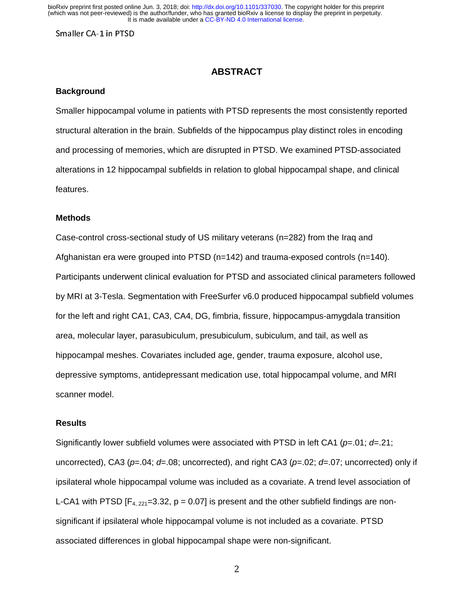### **ABSTRACT**

### **Background**

Smaller hippocampal volume in patients with PTSD represents the most consistently reported structural alteration in the brain. Subfields of the hippocampus play distinct roles in encoding and processing of memories, which are disrupted in PTSD. We examined PTSD-associated alterations in 12 hippocampal subfields in relation to global hippocampal shape, and clinical features.

#### **Methods**

Case-control cross-sectional study of US military veterans (n=282) from the Iraq and Afghanistan era were grouped into PTSD (n=142) and trauma-exposed controls (n=140). Participants underwent clinical evaluation for PTSD and associated clinical parameters followed by MRI at 3-Tesla. Segmentation with FreeSurfer v6.0 produced hippocampal subfield volumes for the left and right CA1, CA3, CA4, DG, fimbria, fissure, hippocampus-amygdala transition area, molecular layer, parasubiculum, presubiculum, subiculum, and tail, as well as hippocampal meshes. Covariates included age, gender, trauma exposure, alcohol use, depressive symptoms, antidepressant medication use, total hippocampal volume, and MRI scanner model.

### **Results**

Significantly lower subfield volumes were associated with PTSD in left CA1 (*p*=.01; *d*=.21; uncorrected), CA3 (*p*=.04; *d*=.08; uncorrected), and right CA3 (*p*=.02; *d*=.07; uncorrected) only if ipsilateral whole hippocampal volume was included as a covariate. A trend level association of L-CA1 with PTSD  $[F_{4, 221} = 3.32, p = 0.07]$  is present and the other subfield findings are nonsignificant if ipsilateral whole hippocampal volume is not included as a covariate. PTSD associated differences in global hippocampal shape were non-significant.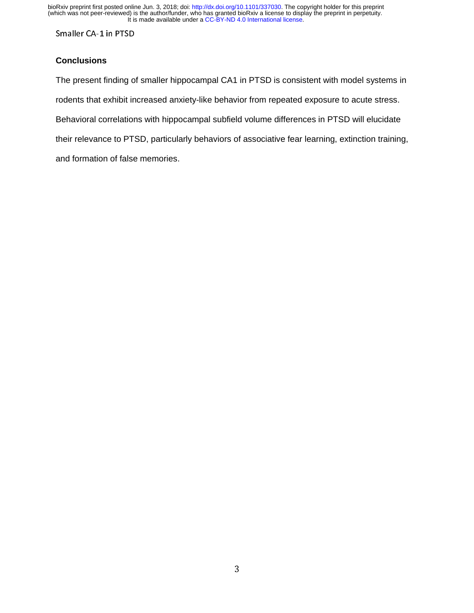Smaller CA-1 in PTSD

### **Conclusions**

The present finding of smaller hippocampal CA1 in PTSD is consistent with model systems in rodents that exhibit increased anxiety-like behavior from repeated exposure to acute stress. Behavioral correlations with hippocampal subfield volume differences in PTSD will elucidate their relevance to PTSD, particularly behaviors of associative fear learning, extinction training, and formation of false memories.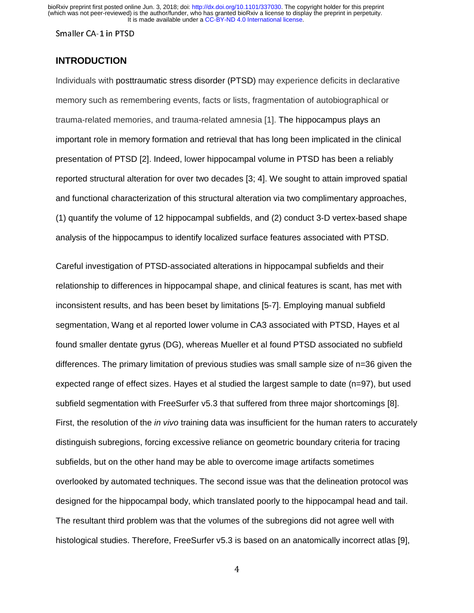### **INTRODUCTION**

Individuals with posttraumatic stress disorder (PTSD) may experience deficits in declarative memory such as remembering events, facts or lists, fragmentation of autobiographical or trauma-related memories, and trauma-related amnesia [1]. The hippocampus plays an important role in memory formation and retrieval that has long been implicated in the clinical presentation of PTSD [2]. Indeed, lower hippocampal volume in PTSD has been a reliably reported structural alteration for over two decades [3; 4]. We sought to attain improved spatial and functional characterization of this structural alteration via two complimentary approaches, (1) quantify the volume of 12 hippocampal subfields, and (2) conduct 3-D vertex-based shape analysis of the hippocampus to identify localized surface features associated with PTSD.

Careful investigation of PTSD-associated alterations in hippocampal subfields and their relationship to differences in hippocampal shape, and clinical features is scant, has met with inconsistent results, and has been beset by limitations [5-7]. Employing manual subfield segmentation, Wang et al reported lower volume in CA3 associated with PTSD, Hayes et al found smaller dentate gyrus (DG), whereas Mueller et al found PTSD associated no subfield differences. The primary limitation of previous studies was small sample size of n=36 given the expected range of effect sizes. Hayes et al studied the largest sample to date (n=97), but used subfield segmentation with FreeSurfer v5.3 that suffered from three major shortcomings [8]. First, the resolution of the *in vivo* training data was insufficient for the human raters to accurately distinguish subregions, forcing excessive reliance on geometric boundary criteria for tracing subfields, but on the other hand may be able to overcome image artifacts sometimes overlooked by automated techniques. The second issue was that the delineation protocol was designed for the hippocampal body, which translated poorly to the hippocampal head and tail. The resultant third problem was that the volumes of the subregions did not agree well with histological studies. Therefore, FreeSurfer v5.3 is based on an anatomically incorrect atlas [9],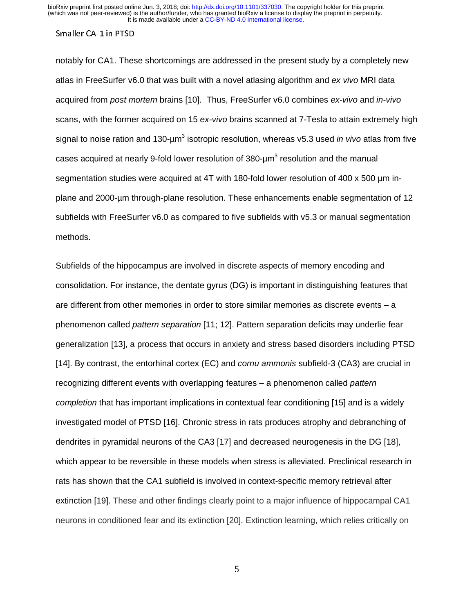#### Smaller CA-1 in PTSD

notably for CA1. These shortcomings are addressed in the present study by a completely new atlas in FreeSurfer v6.0 that was built with a novel atlasing algorithm and *ex vivo* MRI data acquired from *post mortem* brains [10]. Thus, FreeSurfer v6.0 combines *ex-vivo* and *in-vivo*  scans, with the former acquired on 15 *ex-vivo* brains scanned at 7-Tesla to attain extremely high signal to noise ration and 130-µm<sup>3</sup> isotropic resolution, whereas v5.3 used *in vivo* atlas from five cases acquired at nearly 9-fold lower resolution of 380- $\mu$ m<sup>3</sup> resolution and the manual segmentation studies were acquired at 4T with 180-fold lower resolution of 400 x 500 µm inplane and 2000-µm through-plane resolution. These enhancements enable segmentation of 12 subfields with FreeSurfer v6.0 as compared to five subfields with v5.3 or manual segmentation methods.

Subfields of the hippocampus are involved in discrete aspects of memory encoding and consolidation. For instance, the dentate gyrus (DG) is important in distinguishing features that are different from other memories in order to store similar memories as discrete events – a phenomenon called *pattern separation* [11; 12]. Pattern separation deficits may underlie fear generalization [13], a process that occurs in anxiety and stress based disorders including PTSD [14]. By contrast, the entorhinal cortex (EC) and *cornu ammonis* subfield-3 (CA3) are crucial in recognizing different events with overlapping features – a phenomenon called *pattern completion* that has important implications in contextual fear conditioning [15] and is a widely investigated model of PTSD [16]. Chronic stress in rats produces atrophy and debranching of dendrites in pyramidal neurons of the CA3 [17] and decreased neurogenesis in the DG [18], which appear to be reversible in these models when stress is alleviated. Preclinical research in rats has shown that the CA1 subfield is involved in context-specific memory retrieval after extinction [19]. These and other findings clearly point to a major influence of hippocampal CA1 neurons in conditioned fear and its extinction [20]. Extinction learning, which relies critically on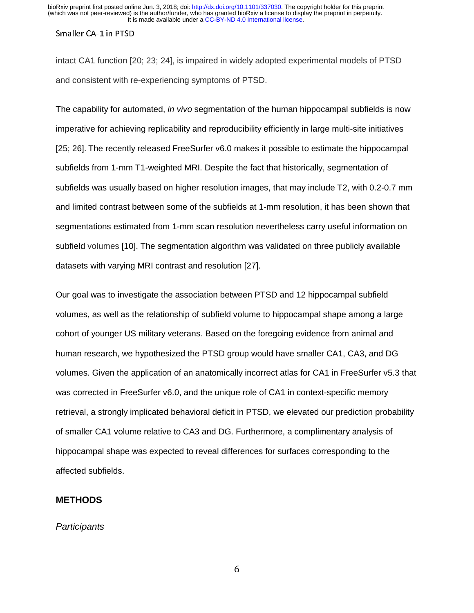intact CA1 function [20; 23; 24], is impaired in widely adopted experimental models of PTSD and consistent with re-experiencing symptoms of PTSD.

The capability for automated, *in vivo* segmentation of the human hippocampal subfields is now imperative for achieving replicability and reproducibility efficiently in large multi-site initiatives [25; 26]. The recently released FreeSurfer v6.0 makes it possible to estimate the hippocampal subfields from 1-mm T1-weighted MRI. Despite the fact that historically, segmentation of subfields was usually based on higher resolution images, that may include T2, with 0.2-0.7 mm and limited contrast between some of the subfields at 1-mm resolution, it has been shown that segmentations estimated from 1-mm scan resolution nevertheless carry useful information on subfield volumes [10]. The segmentation algorithm was validated on three publicly available datasets with varying MRI contrast and resolution [27].

Our goal was to investigate the association between PTSD and 12 hippocampal subfield volumes, as well as the relationship of subfield volume to hippocampal shape among a large cohort of younger US military veterans. Based on the foregoing evidence from animal and human research, we hypothesized the PTSD group would have smaller CA1, CA3, and DG volumes. Given the application of an anatomically incorrect atlas for CA1 in FreeSurfer v5.3 that was corrected in FreeSurfer v6.0, and the unique role of CA1 in context-specific memory retrieval, a strongly implicated behavioral deficit in PTSD, we elevated our prediction probability of smaller CA1 volume relative to CA3 and DG. Furthermore, a complimentary analysis of hippocampal shape was expected to reveal differences for surfaces corresponding to the affected subfields.

### **METHODS**

#### *Participants*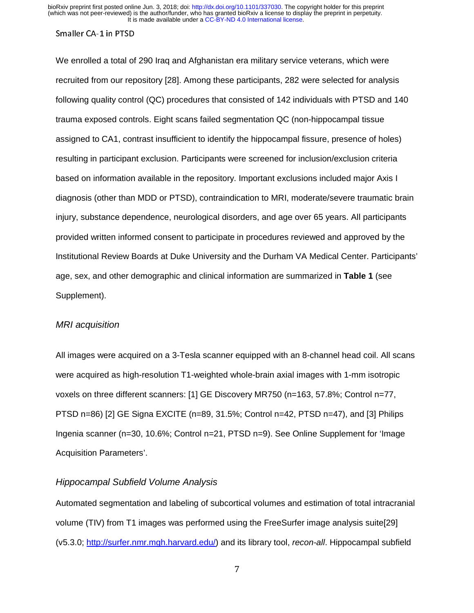### Smaller CA-1 in PTSD

We enrolled a total of 290 Iraq and Afghanistan era military service veterans, which were recruited from our repository [28]. Among these participants, 282 were selected for analysis following quality control (QC) procedures that consisted of 142 individuals with PTSD and 140 trauma exposed controls. Eight scans failed segmentation QC (non-hippocampal tissue assigned to CA1, contrast insufficient to identify the hippocampal fissure, presence of holes) resulting in participant exclusion. Participants were screened for inclusion/exclusion criteria based on information available in the repository. Important exclusions included major Axis I diagnosis (other than MDD or PTSD), contraindication to MRI, moderate/severe traumatic brain injury, substance dependence, neurological disorders, and age over 65 years. All participants provided written informed consent to participate in procedures reviewed and approved by the Institutional Review Boards at Duke University and the Durham VA Medical Center. Participants' age, sex, and other demographic and clinical information are summarized in **Table 1** (see Supplement).

#### *MRI acquisition*

All images were acquired on a 3-Tesla scanner equipped with an 8-channel head coil. All scans were acquired as high-resolution T1-weighted whole-brain axial images with 1-mm isotropic voxels on three different scanners: [1] GE Discovery MR750 (n=163, 57.8%; Control n=77, PTSD n=86) [2] GE Signa EXCITE (n=89, 31.5%; Control n=42, PTSD n=47), and [3] Philips Ingenia scanner (n=30, 10.6%; Control n=21, PTSD n=9). See Online Supplement for 'Image Acquisition Parameters'.

#### *Hippocampal Subfield Volume Analysis*

Automated segmentation and labeling of subcortical volumes and estimation of total intracranial volume (TIV) from T1 images was performed using the FreeSurfer image analysis suite[29] (v5.3.0; http://surfer.nmr.mgh.harvard.edu/) and its library tool, *recon-all*. Hippocampal subfield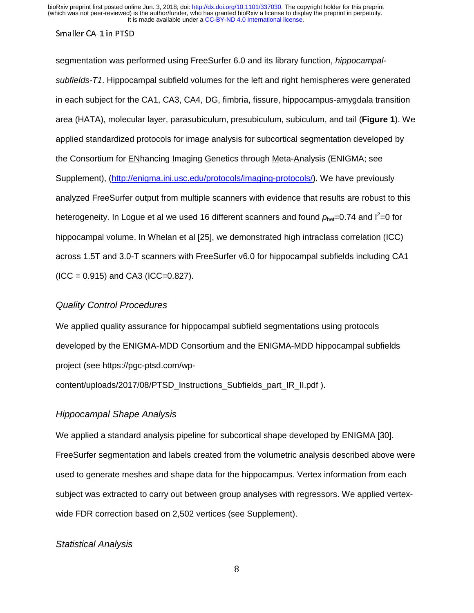### Smaller CA-1 in PTSD

segmentation was performed using FreeSurfer 6.0 and its library function, *hippocampalsubfields-T1*. Hippocampal subfield volumes for the left and right hemispheres were generated in each subject for the CA1, CA3, CA4, DG, fimbria, fissure, hippocampus-amygdala transition area (HATA), molecular layer, parasubiculum, presubiculum, subiculum, and tail (**Figure 1**). We applied standardized protocols for image analysis for subcortical segmentation developed by the Consortium for ENhancing Imaging Genetics through Meta-Analysis (ENIGMA; see Supplement), (http://enigma.ini.usc.edu/protocols/imaging-protocols/). We have previously analyzed FreeSurfer output from multiple scanners with evidence that results are robust to this heterogeneity. In Logue et al we used 16 different scanners and found  $p_{\text{het}}$ =0.74 and l<sup>2</sup>=0 for hippocampal volume. In Whelan et al [25], we demonstrated high intraclass correlation (ICC) across 1.5T and 3.0-T scanners with FreeSurfer v6.0 for hippocampal subfields including CA1  $(ICC = 0.915)$  and CA3  $(ICC = 0.827)$ .

#### *Quality Control Procedures*

We applied quality assurance for hippocampal subfield segmentations using protocols developed by the ENIGMA-MDD Consortium and the ENIGMA-MDD hippocampal subfields project (see https://pgc-ptsd.com/wp-

content/uploads/2017/08/PTSD\_Instructions\_Subfields\_part\_IR\_II.pdf ).

#### *Hippocampal Shape Analysis*

We applied a standard analysis pipeline for subcortical shape developed by ENIGMA [30]. FreeSurfer segmentation and labels created from the volumetric analysis described above were used to generate meshes and shape data for the hippocampus. Vertex information from each subject was extracted to carry out between group analyses with regressors. We applied vertexwide FDR correction based on 2,502 vertices (see Supplement).

### *Statistical Analysis*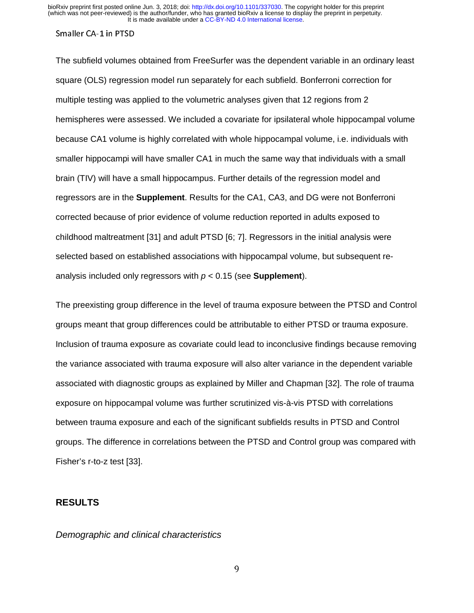The subfield volumes obtained from FreeSurfer was the dependent variable in an ordinary least square (OLS) regression model run separately for each subfield. Bonferroni correction for multiple testing was applied to the volumetric analyses given that 12 regions from 2 hemispheres were assessed. We included a covariate for ipsilateral whole hippocampal volume because CA1 volume is highly correlated with whole hippocampal volume, i.e. individuals with smaller hippocampi will have smaller CA1 in much the same way that individuals with a small brain (TIV) will have a small hippocampus. Further details of the regression model and regressors are in the **Supplement**. Results for the CA1, CA3, and DG were not Bonferroni corrected because of prior evidence of volume reduction reported in adults exposed to childhood maltreatment [31] and adult PTSD [6; 7]. Regressors in the initial analysis were selected based on established associations with hippocampal volume, but subsequent reanalysis included only regressors with *p* < 0.15 (see **Supplement**).

The preexisting group difference in the level of trauma exposure between the PTSD and Control groups meant that group differences could be attributable to either PTSD or trauma exposure. Inclusion of trauma exposure as covariate could lead to inconclusive findings because removing the variance associated with trauma exposure will also alter variance in the dependent variable associated with diagnostic groups as explained by Miller and Chapman [32]. The role of trauma exposure on hippocampal volume was further scrutinized vis-à-vis PTSD with correlations between trauma exposure and each of the significant subfields results in PTSD and Control groups. The difference in correlations between the PTSD and Control group was compared with Fisher's r-to-z test [33].

## **RESULTS**

*Demographic and clinical characteristics*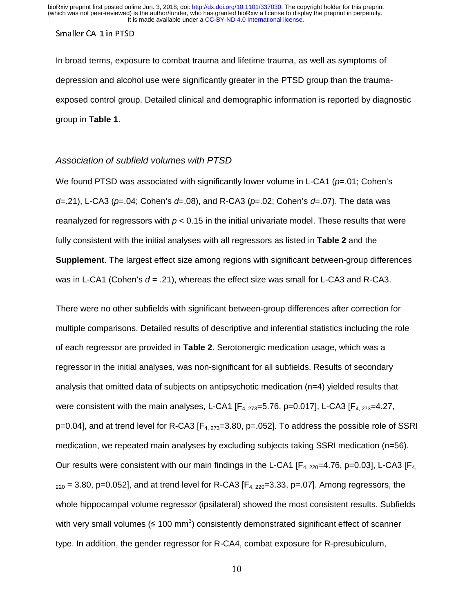In broad terms, exposure to combat trauma and lifetime trauma, as well as symptoms of depression and alcohol use were significantly greater in the PTSD group than the traumaexposed control group. Detailed clinical and demographic information is reported by diagnostic group in **Table 1**.

#### *Association of subfield volumes with PTSD*

We found PTSD was associated with significantly lower volume in L-CA1 ( $p=01$ ; Cohen's *d*=.21), L-CA3 (*p*=.04; Cohen's *d*=.08), and R-CA3 (*p*=.02; Cohen's *d*=.07). The data was reanalyzed for regressors with *p* < 0.15 in the initial univariate model. These results that were fully consistent with the initial analyses with all regressors as listed in **Table 2** and the **Supplement**. The largest effect size among regions with significant between-group differences was in L-CA1 (Cohen's *d* = .21), whereas the effect size was small for L-CA3 and R-CA3.

There were no other subfields with significant between-group differences after correction for multiple comparisons. Detailed results of descriptive and inferential statistics including the role of each regressor are provided in **Table 2**. Serotonergic medication usage, which was a regressor in the initial analyses, was non-significant for all subfields. Results of secondary analysis that omitted data of subjects on antipsychotic medication (n=4) yielded results that were consistent with the main analyses, L-CA1  $[F_{4.273}=5.76, p=0.017]$ , L-CA3  $[F_{4.273}=4.27$ ,  $p=0.04$ ], and at trend level for R-CA3 [ $F_4$ <sub>273</sub>=3.80, p=.052]. To address the possible role of SSRI medication, we repeated main analyses by excluding subjects taking SSRI medication (n=56). Our results were consistent with our main findings in the L-CA1  $[F_{4, 220} = 4.76, p = 0.03]$ , L-CA3  $[F_{4, 4}]$  $_{220}$  = 3.80, p=0.052], and at trend level for R-CA3 [F<sub>4, 220</sub>=3.33, p=.07]. Among regressors, the whole hippocampal volume regressor (ipsilateral) showed the most consistent results. Subfields with very small volumes (≤ 100 mm<sup>3</sup>) consistently demonstrated significant effect of scanner type. In addition, the gender regressor for R-CA4, combat exposure for R-presubiculum,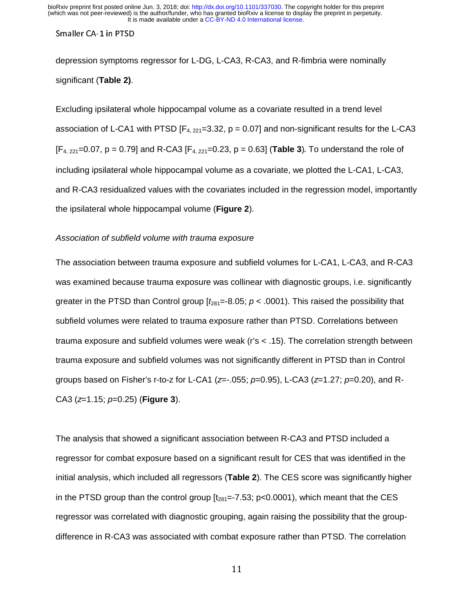depression symptoms regressor for L-DG, L-CA3, R-CA3, and R-fimbria were nominally significant (**Table 2)**.

Excluding ipsilateral whole hippocampal volume as a covariate resulted in a trend level association of L-CA1 with PTSD  $[F_{4, 221}=3.32, p = 0.07]$  and non-significant results for the L-CA3  $[F_{4, 221}=0.07, p = 0.79]$  and R-CA3  $[F_{4, 221}=0.23, p = 0.63]$  (Table 3). To understand the role of including ipsilateral whole hippocampal volume as a covariate, we plotted the L-CA1, L-CA3, and R-CA3 residualized values with the covariates included in the regression model, importantly the ipsilateral whole hippocampal volume (**Figure 2**).

#### *Association of subfield volume with trauma exposure*

The association between trauma exposure and subfield volumes for L-CA1, L-CA3, and R-CA3 was examined because trauma exposure was collinear with diagnostic groups, i.e. significantly greater in the PTSD than Control group  $[t<sub>281</sub>=-8.05; p < .0001)$ . This raised the possibility that subfield volumes were related to trauma exposure rather than PTSD. Correlations between trauma exposure and subfield volumes were weak (r's < .15). The correlation strength between trauma exposure and subfield volumes was not significantly different in PTSD than in Control groups based on Fisher's r-to-z for L-CA1 (*z*=-.055; *p*=0.95), L-CA3 (*z*=1.27; *p*=0.20), and R-CA3 (*z*=1.15; *p*=0.25) (**Figure 3**).

The analysis that showed a significant association between R-CA3 and PTSD included a regressor for combat exposure based on a significant result for CES that was identified in the initial analysis, which included all regressors (**Table 2**). The CES score was significantly higher in the PTSD group than the control group  $[t_{281}=-7.53; p<0.0001)$ , which meant that the CES regressor was correlated with diagnostic grouping, again raising the possibility that the groupdifference in R-CA3 was associated with combat exposure rather than PTSD. The correlation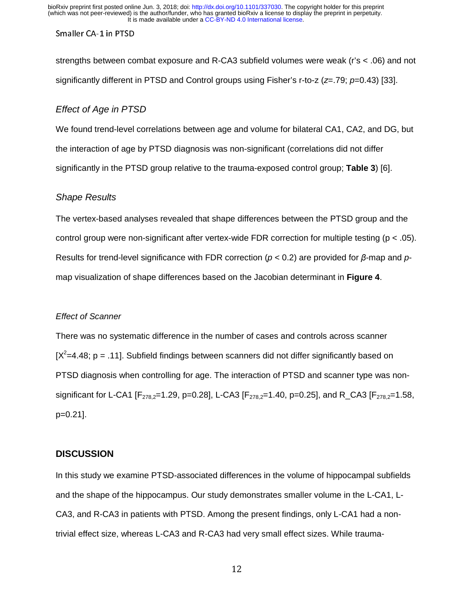#### Smaller CA-1 in PTSD

strengths between combat exposure and R-CA3 subfield volumes were weak (r's < .06) and not significantly different in PTSD and Control groups using Fisher's r-to-z (*z*=.79; *p*=0.43) [33].

### *Effect of Age in PTSD*

We found trend-level correlations between age and volume for bilateral CA1, CA2, and DG, but the interaction of age by PTSD diagnosis was non-significant (correlations did not differ significantly in the PTSD group relative to the trauma-exposed control group; **Table 3**) [6].

#### *Shape Results*

The vertex-based analyses revealed that shape differences between the PTSD group and the control group were non-significant after vertex-wide FDR correction for multiple testing (p < .05). Results for trend-level significance with FDR correction (*p* < 0.2) are provided for β-map and *p*map visualization of shape differences based on the Jacobian determinant in **Figure 4**.

#### *Effect of Scanner*

There was no systematic difference in the number of cases and controls across scanner [ $X^2$ =4.48; p = .11]. Subfield findings between scanners did not differ significantly based on PTSD diagnosis when controlling for age. The interaction of PTSD and scanner type was nonsignificant for L-CA1  $[F_{278.2}=1.29, p=0.28]$ , L-CA3  $[F_{278.2}=1.40, p=0.25]$ , and R\_CA3  $[F_{278.2}=1.58, p=0.25]$ p=0.21].

#### **DISCUSSION**

In this study we examine PTSD-associated differences in the volume of hippocampal subfields and the shape of the hippocampus. Our study demonstrates smaller volume in the L-CA1, L-CA3, and R-CA3 in patients with PTSD. Among the present findings, only L-CA1 had a nontrivial effect size, whereas L-CA3 and R-CA3 had very small effect sizes. While trauma-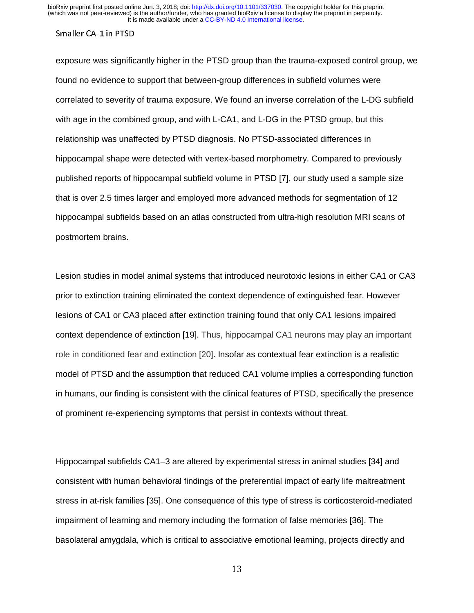exposure was significantly higher in the PTSD group than the trauma-exposed control group, we found no evidence to support that between-group differences in subfield volumes were correlated to severity of trauma exposure. We found an inverse correlation of the L-DG subfield with age in the combined group, and with L-CA1, and L-DG in the PTSD group, but this relationship was unaffected by PTSD diagnosis. No PTSD-associated differences in hippocampal shape were detected with vertex-based morphometry. Compared to previously published reports of hippocampal subfield volume in PTSD [7], our study used a sample size that is over 2.5 times larger and employed more advanced methods for segmentation of 12 hippocampal subfields based on an atlas constructed from ultra-high resolution MRI scans of postmortem brains.

Lesion studies in model animal systems that introduced neurotoxic lesions in either CA1 or CA3 prior to extinction training eliminated the context dependence of extinguished fear. However lesions of CA1 or CA3 placed after extinction training found that only CA1 lesions impaired context dependence of extinction [19]. Thus, hippocampal CA1 neurons may play an important role in conditioned fear and extinction [20]. Insofar as contextual fear extinction is a realistic model of PTSD and the assumption that reduced CA1 volume implies a corresponding function in humans, our finding is consistent with the clinical features of PTSD, specifically the presence of prominent re-experiencing symptoms that persist in contexts without threat.

Hippocampal subfields CA1–3 are altered by experimental stress in animal studies [34] and consistent with human behavioral findings of the preferential impact of early life maltreatment stress in at-risk families [35]. One consequence of this type of stress is corticosteroid-mediated impairment of learning and memory including the formation of false memories [36]. The basolateral amygdala, which is critical to associative emotional learning, projects directly and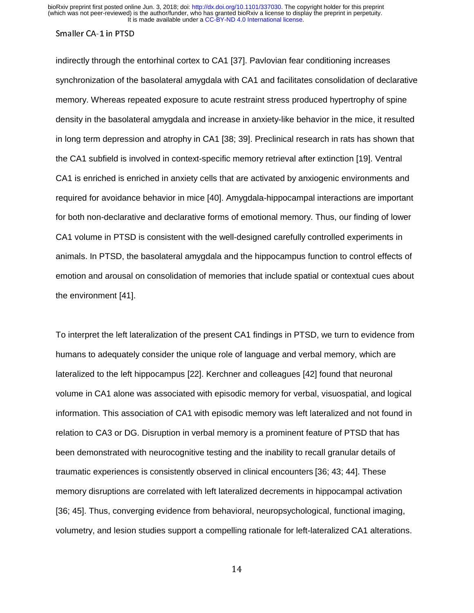indirectly through the entorhinal cortex to CA1 [37]. Pavlovian fear conditioning increases synchronization of the basolateral amygdala with CA1 and facilitates consolidation of declarative memory. Whereas repeated exposure to acute restraint stress produced hypertrophy of spine density in the basolateral amygdala and increase in anxiety-like behavior in the mice, it resulted in long term depression and atrophy in CA1 [38; 39]. Preclinical research in rats has shown that the CA1 subfield is involved in context-specific memory retrieval after extinction [19]. Ventral CA1 is enriched is enriched in anxiety cells that are activated by anxiogenic environments and required for avoidance behavior in mice [40]. Amygdala-hippocampal interactions are important for both non-declarative and declarative forms of emotional memory. Thus, our finding of lower CA1 volume in PTSD is consistent with the well-designed carefully controlled experiments in animals. In PTSD, the basolateral amygdala and the hippocampus function to control effects of emotion and arousal on consolidation of memories that include spatial or contextual cues about the environment [41].

To interpret the left lateralization of the present CA1 findings in PTSD, we turn to evidence from humans to adequately consider the unique role of language and verbal memory, which are lateralized to the left hippocampus [22]. Kerchner and colleagues [42] found that neuronal volume in CA1 alone was associated with episodic memory for verbal, visuospatial, and logical information. This association of CA1 with episodic memory was left lateralized and not found in relation to CA3 or DG. Disruption in verbal memory is a prominent feature of PTSD that has been demonstrated with neurocognitive testing and the inability to recall granular details of traumatic experiences is consistently observed in clinical encounters [36; 43; 44]. These memory disruptions are correlated with left lateralized decrements in hippocampal activation [36; 45]. Thus, converging evidence from behavioral, neuropsychological, functional imaging, volumetry, and lesion studies support a compelling rationale for left-lateralized CA1 alterations.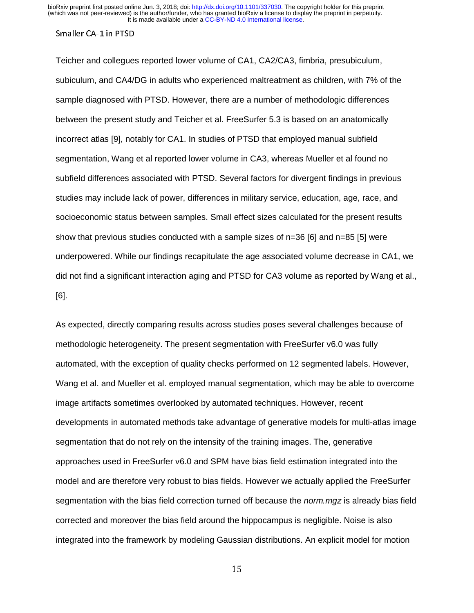Teicher and collegues reported lower volume of CA1, CA2/CA3, fimbria, presubiculum, subiculum, and CA4/DG in adults who experienced maltreatment as children, with 7% of the sample diagnosed with PTSD. However, there are a number of methodologic differences between the present study and Teicher et al. FreeSurfer 5.3 is based on an anatomically incorrect atlas [9], notably for CA1. In studies of PTSD that employed manual subfield segmentation, Wang et al reported lower volume in CA3, whereas Mueller et al found no subfield differences associated with PTSD. Several factors for divergent findings in previous studies may include lack of power, differences in military service, education, age, race, and socioeconomic status between samples. Small effect sizes calculated for the present results show that previous studies conducted with a sample sizes of n=36 [6] and n=85 [5] were underpowered. While our findings recapitulate the age associated volume decrease in CA1, we did not find a significant interaction aging and PTSD for CA3 volume as reported by Wang et al., [6].

As expected, directly comparing results across studies poses several challenges because of methodologic heterogeneity. The present segmentation with FreeSurfer v6.0 was fully automated, with the exception of quality checks performed on 12 segmented labels. However, Wang et al. and Mueller et al. employed manual segmentation, which may be able to overcome image artifacts sometimes overlooked by automated techniques. However, recent developments in automated methods take advantage of generative models for multi-atlas image segmentation that do not rely on the intensity of the training images. The, generative approaches used in FreeSurfer v6.0 and SPM have bias field estimation integrated into the model and are therefore very robust to bias fields. However we actually applied the FreeSurfer segmentation with the bias field correction turned off because the *norm.mgz* is already bias field corrected and moreover the bias field around the hippocampus is negligible. Noise is also integrated into the framework by modeling Gaussian distributions. An explicit model for motion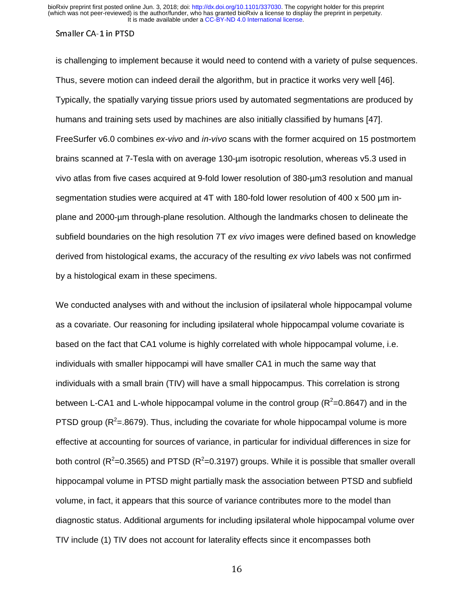is challenging to implement because it would need to contend with a variety of pulse sequences. Thus, severe motion can indeed derail the algorithm, but in practice it works very well [46]. Typically, the spatially varying tissue priors used by automated segmentations are produced by humans and training sets used by machines are also initially classified by humans [47]. FreeSurfer v6.0 combines *ex-vivo* and *in-vivo* scans with the former acquired on 15 postmortem brains scanned at 7-Tesla with on average 130-µm isotropic resolution, whereas v5.3 used in vivo atlas from five cases acquired at 9-fold lower resolution of 380-µm3 resolution and manual segmentation studies were acquired at 4T with 180-fold lower resolution of 400 x 500 um inplane and 2000-µm through-plane resolution. Although the landmarks chosen to delineate the subfield boundaries on the high resolution 7T *ex vivo* images were defined based on knowledge derived from histological exams, the accuracy of the resulting *ex vivo* labels was not confirmed by a histological exam in these specimens.

We conducted analyses with and without the inclusion of ipsilateral whole hippocampal volume as a covariate. Our reasoning for including ipsilateral whole hippocampal volume covariate is based on the fact that CA1 volume is highly correlated with whole hippocampal volume, i.e. individuals with smaller hippocampi will have smaller CA1 in much the same way that individuals with a small brain (TIV) will have a small hippocampus. This correlation is strong between L-CA1 and L-whole hippocampal volume in the control group ( $R^2$ =0.8647) and in the PTSD group ( $R^2$ =.8679). Thus, including the covariate for whole hippocampal volume is more effective at accounting for sources of variance, in particular for individual differences in size for both control (R<sup>2</sup>=0.3565) and PTSD (R<sup>2</sup>=0.3197) groups. While it is possible that smaller overall hippocampal volume in PTSD might partially mask the association between PTSD and subfield volume, in fact, it appears that this source of variance contributes more to the model than diagnostic status. Additional arguments for including ipsilateral whole hippocampal volume over TIV include (1) TIV does not account for laterality effects since it encompasses both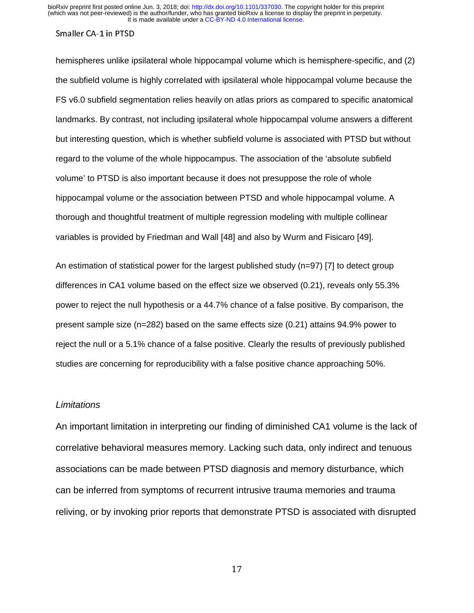hemispheres unlike ipsilateral whole hippocampal volume which is hemisphere-specific, and (2) the subfield volume is highly correlated with ipsilateral whole hippocampal volume because the FS v6.0 subfield segmentation relies heavily on atlas priors as compared to specific anatomical landmarks. By contrast, not including ipsilateral whole hippocampal volume answers a different but interesting question, which is whether subfield volume is associated with PTSD but without regard to the volume of the whole hippocampus. The association of the 'absolute subfield volume' to PTSD is also important because it does not presuppose the role of whole hippocampal volume or the association between PTSD and whole hippocampal volume. A thorough and thoughtful treatment of multiple regression modeling with multiple collinear variables is provided by Friedman and Wall [48] and also by Wurm and Fisicaro [49].

An estimation of statistical power for the largest published study (n=97) [7] to detect group differences in CA1 volume based on the effect size we observed (0.21), reveals only 55.3% power to reject the null hypothesis or a 44.7% chance of a false positive. By comparison, the present sample size (n=282) based on the same effects size (0.21) attains 94.9% power to reject the null or a 5.1% chance of a false positive. Clearly the results of previously published studies are concerning for reproducibility with a false positive chance approaching 50%.

### *Limitations*

An important limitation in interpreting our finding of diminished CA1 volume is the lack of correlative behavioral measures memory. Lacking such data, only indirect and tenuous associations can be made between PTSD diagnosis and memory disturbance, which can be inferred from symptoms of recurrent intrusive trauma memories and trauma reliving, or by invoking prior reports that demonstrate PTSD is associated with disrupted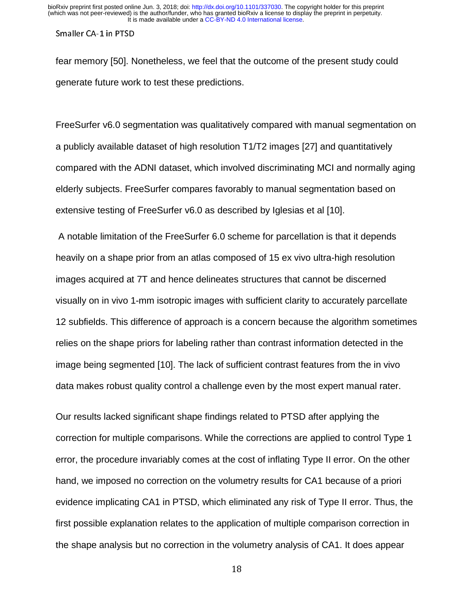fear memory [50]. Nonetheless, we feel that the outcome of the present study could generate future work to test these predictions.

FreeSurfer v6.0 segmentation was qualitatively compared with manual segmentation on a publicly available dataset of high resolution T1/T2 images [27] and quantitatively compared with the ADNI dataset, which involved discriminating MCI and normally aging elderly subjects. FreeSurfer compares favorably to manual segmentation based on extensive testing of FreeSurfer v6.0 as described by Iglesias et al [10].

 A notable limitation of the FreeSurfer 6.0 scheme for parcellation is that it depends heavily on a shape prior from an atlas composed of 15 ex vivo ultra-high resolution images acquired at 7T and hence delineates structures that cannot be discerned visually on in vivo 1-mm isotropic images with sufficient clarity to accurately parcellate 12 subfields. This difference of approach is a concern because the algorithm sometimes relies on the shape priors for labeling rather than contrast information detected in the image being segmented [10]. The lack of sufficient contrast features from the in vivo data makes robust quality control a challenge even by the most expert manual rater.

Our results lacked significant shape findings related to PTSD after applying the correction for multiple comparisons. While the corrections are applied to control Type 1 error, the procedure invariably comes at the cost of inflating Type II error. On the other hand, we imposed no correction on the volumetry results for CA1 because of a priori evidence implicating CA1 in PTSD, which eliminated any risk of Type II error. Thus, the first possible explanation relates to the application of multiple comparison correction in the shape analysis but no correction in the volumetry analysis of CA1. It does appear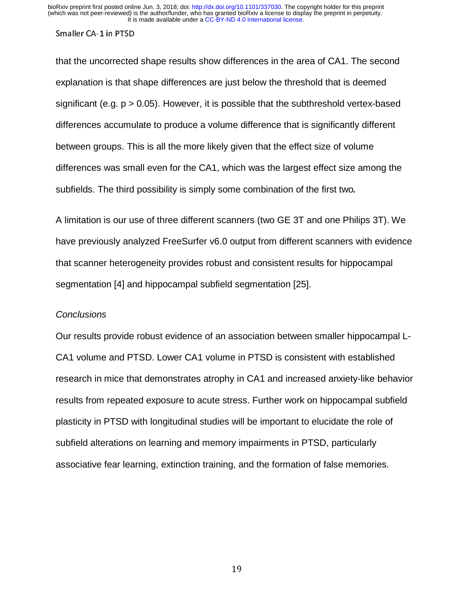that the uncorrected shape results show differences in the area of CA1. The second explanation is that shape differences are just below the threshold that is deemed significant (e.g.  $p > 0.05$ ). However, it is possible that the subthreshold vertex-based differences accumulate to produce a volume difference that is significantly different between groups. This is all the more likely given that the effect size of volume differences was small even for the CA1, which was the largest effect size among the subfields. The third possibility is simply some combination of the first two.

A limitation is our use of three different scanners (two GE 3T and one Philips 3T). We have previously analyzed FreeSurfer v6.0 output from different scanners with evidence that scanner heterogeneity provides robust and consistent results for hippocampal segmentation [4] and hippocampal subfield segmentation [25].

### *Conclusions*

Our results provide robust evidence of an association between smaller hippocampal L-CA1 volume and PTSD. Lower CA1 volume in PTSD is consistent with established research in mice that demonstrates atrophy in CA1 and increased anxiety-like behavior results from repeated exposure to acute stress. Further work on hippocampal subfield plasticity in PTSD with longitudinal studies will be important to elucidate the role of subfield alterations on learning and memory impairments in PTSD, particularly associative fear learning, extinction training, and the formation of false memories.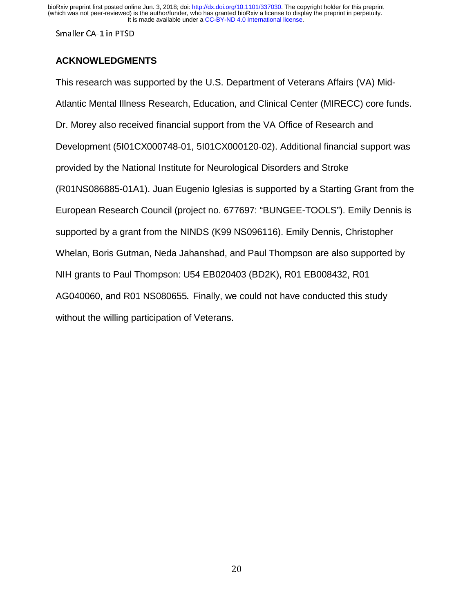Smaller CA-1 in PTSD

## **ACKNOWLEDGMENTS**

This research was supported by the U.S. Department of Veterans Affairs (VA) Mid-Atlantic Mental Illness Research, Education, and Clinical Center (MIRECC) core funds. Dr. Morey also received financial support from the VA Office of Research and Development (5I01CX000748-01, 5I01CX000120-02). Additional financial support was provided by the National Institute for Neurological Disorders and Stroke (R01NS086885-01A1). Juan Eugenio Iglesias is supported by a Starting Grant from the European Research Council (project no. 677697: "BUNGEE-TOOLS"). Emily Dennis is supported by a grant from the NINDS (K99 NS096116). Emily Dennis, Christopher Whelan, Boris Gutman, Neda Jahanshad, and Paul Thompson are also supported by NIH grants to Paul Thompson: U54 EB020403 (BD2K), R01 EB008432, R01 AG040060, and R01 NS080655. Finally, we could not have conducted this study without the willing participation of Veterans.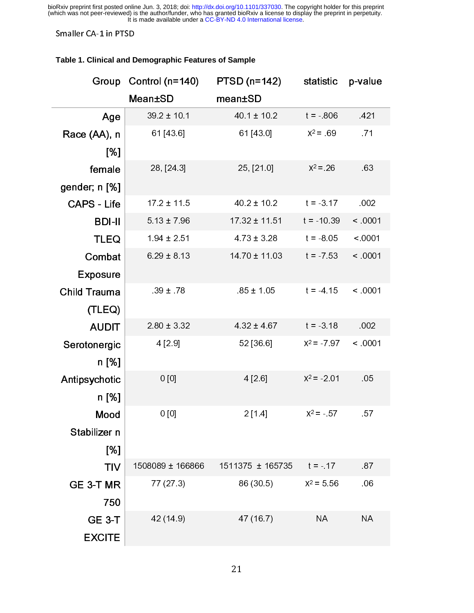#### Smaller CA-1 in PTSD

#### **Table 1. Clinical and Demographic Features of Sample**

| Group               | Control (n=140)  | $PTSD$ (n=142)    | statistic     | p-value        |  |
|---------------------|------------------|-------------------|---------------|----------------|--|
|                     | <b>Mean±SD</b>   | mean±SD           |               |                |  |
| Age                 | $39.2 \pm 10.1$  | $40.1 \pm 10.2$   | $t = 806$     | 421            |  |
| Race (AA), n        | 61 [43.6]        | 61 [43.0]         | $X^2 = 69$    | 71             |  |
| [%]                 |                  |                   |               |                |  |
| female              | 28, [24.3]       | 25, [21.0]        | $X^2 = 26$    | 63             |  |
| gender; n [%]       |                  |                   |               |                |  |
| <b>CAPS - Life</b>  | $17.2 \pm 11.5$  | $40.2 \pm 10.2$   | $t = 3.17$    | .002           |  |
| <b>BDI-II</b>       | $513 \pm 796$    | $17.32 \pm 11.51$ | $t = -10.39$  | < 0001         |  |
| <b>TLEQ</b>         | $194 \pm 251$    | $473 \pm 328$     | $t = 805$     | < 0001         |  |
| Combat              | $6.29 \pm 8.13$  | 14 70 ± 11 03     | $t = -7.53$   | < 0001         |  |
| <b>Exposure</b>     |                  |                   |               |                |  |
| <b>Child Trauma</b> | $39 \pm 78$      | $85 \pm 1.05$     | $t = 4.15$    | < 0001         |  |
| (TLEQ)              |                  |                   |               |                |  |
| <b>AUDIT</b>        | $2.80 \pm 3.32$  | $4.32 \pm 4.67$   | $t = -3.18$   | .002           |  |
| Serotonergic        | 4 [29]           | 52 [36.6]         | $X^2 = 7.97$  | < 0001         |  |
| n [%]               |                  |                   |               |                |  |
| Antipsychotic       | 0[0]             | 4[26]             | $X^2 = -2.01$ | 0 <sub>5</sub> |  |
| n [%]               |                  |                   |               |                |  |
| Mood                | $0$ [0]          | 2[14]             | $X^2 = -57$   | 57             |  |
| Stabilizer n        |                  |                   |               |                |  |
| [%]                 |                  |                   |               |                |  |
| <b>TIV</b>          | 1508089 ± 166866 | 1511375 ± 165735  | $t = -17$     | 87             |  |
| GE 3-T MR           | 77 (27.3)        | 86 (30.5)         | $X^2 = 5.56$  | .06            |  |
| 750                 |                  |                   |               |                |  |
| <b>GE 3-T</b>       | 42 (14.9)        | 47 (16.7)         | <b>NA</b>     | <b>NA</b>      |  |
| <b>EXCITE</b>       |                  |                   |               |                |  |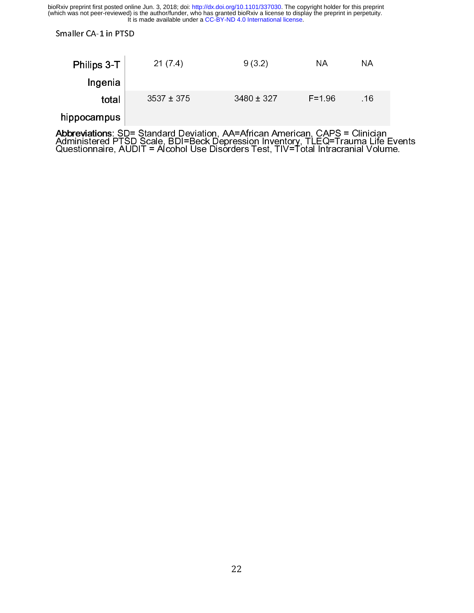Smaller CA-1 in PTSD

| Philips 3-T | 21(7.4)        | 9(3.2)         | ΝA         | ΝA  |
|-------------|----------------|----------------|------------|-----|
| Ingenia     |                |                |            |     |
| total       | $3537 \pm 375$ | $3480 \pm 327$ | $F = 1.96$ | .16 |

## hippocampus

Abbreviations: SD= Standard Deviation, AVA African American, CAPS = Clinician<br>Administered PTSD Scale, BDI=Beck Depression Inventory, TLEQ=Trauma Life Events<br>Questionnaire, AUDIT = Alcohol Use Disorders Test, TIV=Total Int Questionnaire, AUDIT = Alcohol Use Disorders Test, TIV=Total Intracranial Volume.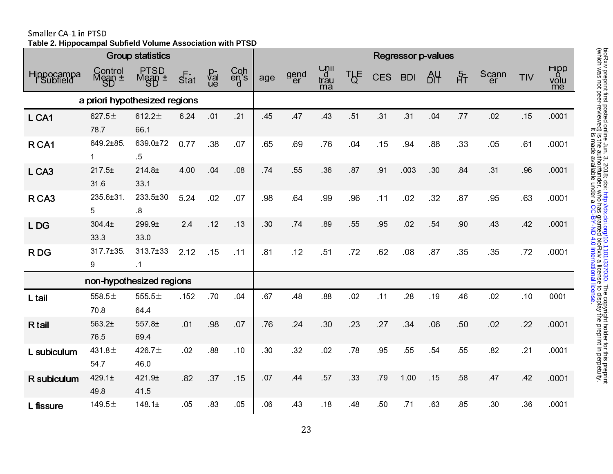Smaller CA-1 in PTSD **Table 2. Hippocampal Subfield Volume Association with PTSD**

|                        |                               | <b>Group statistics</b>    |                              |                |                                                                      | <b>Regressor p-values</b> |            |                               |                  |            |            |     |     |       |     |                    |
|------------------------|-------------------------------|----------------------------|------------------------------|----------------|----------------------------------------------------------------------|---------------------------|------------|-------------------------------|------------------|------------|------------|-----|-----|-------|-----|--------------------|
| Hippocampa<br>Subfield | Control<br>Mean ±             | PTSD<br>$M$ ean $\pm$      | $\overline{\mathcal{S}}$ tat | p<br>val<br>ue | $\begin{array}{c} \text{Coh} \\ \text{en's} \\ \text{d} \end{array}$ | age                       | gend<br>er | U <sub>dl</sub><br>trau<br>ma | T <sub>b</sub> E | <b>CES</b> | <b>BDI</b> | AY  | ਮੰਜ | Scann | TIV | Hipp<br>volu<br>me |
|                        | a priori hypothesized regions |                            |                              |                |                                                                      |                           |            |                               |                  |            |            |     |     |       |     |                    |
| L CA1                  | 627 $5±$<br>78.7              | 612.2 $\pm$<br>66 1        | 6 24                         | 01             | .21                                                                  | 45                        | 47         | 43                            | 51               | 31         | 31         | 04  | 77  | .02   | .15 | .0001              |
| R <sub>CA1</sub>       | 649 2±85<br>$\mathbf{1}$      | 639.0±72<br>$\overline{5}$ | 0.77                         | 38             | 07                                                                   | 65                        | 69         | 76                            | 04               | .15        | 94         | 88  | 33  | 05    | 61  | 0001               |
| L CA3                  | 217.5±<br>316                 | 214.8 <sub>±</sub><br>33.1 | 4.00                         | 04             | .08                                                                  | 74                        | 55         | .36                           | 87               | 91         | .003       | 30  | 84  | 31    | 96  | .0001              |
| R CA3                  | 235 6±31<br>5                 | 233.5±30<br>$\overline{8}$ | 5 2 4                        | 02             | 07                                                                   | 98                        | 64         | 99                            | 96               | .11        | 02         | 32  | 87  | 95    | 63  | .0001              |
| L DG                   | 304 4±<br>333                 | 299 9±<br>330              | 2.4                          | .12            | 13                                                                   | 30                        | 74         | 89                            | 55               | 95         | .02        | 54  | 90  | 43    | 42  | .0001              |
| R DG                   | $317.7 \pm 35$<br>9           | 313.7±33<br>$\overline{1}$ | 2.12                         | .15            | $-11$                                                                | 81                        | .12        | .51                           | 72               | 62         | 08         | .87 | 35  | 35    | .72 | .0001              |
|                        | non-hypothesized regions      |                            |                              |                |                                                                      |                           |            |                               |                  |            |            |     |     |       |     |                    |
| L tail                 | 558.5 $\pm$<br>70.8           | 555.5 $\pm$<br>64 4        | 152                          | .70            | 04                                                                   | 67                        | .48        | .88                           | 02               | .11        | .28        | 19  | 46  | .02   | .10 | 0001               |
| R tail                 | 563.2±<br>76.5                | 557 8±<br>69 4             | 01                           | 98             | 07                                                                   | 76                        | .24        | 30                            | .23              | 27         | 34         | .06 | 50  | 02    | .22 | .0001              |
| L subiculum            | 431.8 $\pm$<br>54.7           | 426.7 $\pm$<br>46.0        | .02                          | .88            | .10                                                                  | 30                        | 32         | 02                            | .78              | 95         | 55         | 54  | 55  | 82    | .21 | .0001              |
| R subiculum            | 429.1 <sub>±</sub><br>49.8    | 421 9±<br>41.5             | 82                           | 37             | 15                                                                   | 07                        | 44         | 57                            | 33               | 79         | 1.00       | 15  | 58  | 47    | 42  | .0001              |
| L fissure              | 149.5 $\pm$                   | 148.1 <sub>±</sub>         | 05                           | 83             | .05                                                                  | 06                        | 43         | .18                           | 48               | 50         | 71         | 63  | 85  | 30    | 36  | .0001              |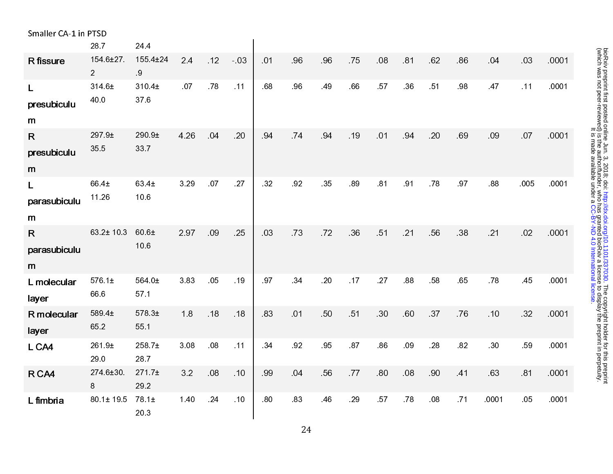| Smaller CA-1 in PTSD |                                   |                    |       |     |       |     |     |     |     |     |     |     |    |       |      |       |
|----------------------|-----------------------------------|--------------------|-------|-----|-------|-----|-----|-----|-----|-----|-----|-----|----|-------|------|-------|
|                      | 287                               | 24 4               |       |     |       |     |     |     |     |     |     |     |    |       |      |       |
| R fissure            | $154.6 \pm 27.$<br>$\overline{2}$ | 155 4±24<br>9      | 2.4   | 12  | $-03$ | 01  | 96  | 96  | 75  | 08  | 81  | 62  | 86 | 04    | .03  | .0001 |
| $\mathsf{L}$         | 314 6±                            | 310.4±             | .07   | .78 | $-11$ | .68 | 96  | 49  | .66 | 57  | 36  | 51  | 98 | 47    | .11  | .0001 |
| presubiculu          | 40.0                              | 37.6               |       |     |       |     |     |     |     |     |     |     |    |       |      |       |
| m                    |                                   |                    |       |     |       |     |     |     |     |     |     |     |    |       |      |       |
| $\mathsf{R}$         | 297 9±                            | 290.9±             | 4 2 6 | .04 | .20   | 94  | 74  | 94  | .19 | 01  | 94  | .20 | 69 | .09   | .07  | .0001 |
| presubiculu          | 355                               | 337                |       |     |       |     |     |     |     |     |     |     |    |       |      |       |
| m                    |                                   |                    |       |     |       |     |     |     |     |     |     |     |    |       |      |       |
| $\mathsf{L}$         | 66 4±                             | 63 4±              | 3 2 9 | .07 | .27   | .32 | 92  | 35  | .89 | 81  | 91  | 78  | 97 | .88   | .005 | .0001 |
| parasubiculu         | 11.26                             | 10.6               |       |     |       |     |     |     |     |     |     |     |    |       |      |       |
| m                    |                                   |                    |       |     |       |     |     |     |     |     |     |     |    |       |      |       |
| $\mathsf{R}$         | 63.2± 10.3                        | $60.6\pm$          | 297   | 09  | 25    | 03  | 73  | 72  | 36  | 51  | 21  | 56  | 38 | .21   | .02  | .0001 |
| parasubiculu         |                                   | 10 6               |       |     |       |     |     |     |     |     |     |     |    |       |      |       |
| m                    |                                   |                    |       |     |       |     |     |     |     |     |     |     |    |       |      |       |
| L molecular          | 576.1±                            | 564.0±             | 383   | .05 | .19   | 97  | 34  | .20 | .17 | .27 | .88 | .58 | 65 | .78   | 45   | .0001 |
| layer                | 66.6                              | 57 1               |       |     |       |     |     |     |     |     |     |     |    |       |      |       |
| R molecular          | 589 4±                            | 578.3±             | 18    | .18 | .18   | 83  | .01 | 50  | 51  | 30  | 60  | 37  | 76 | .10   | .32  | 0001  |
| layer                | 65.2                              | 55 1               |       |     |       |     |     |     |     |     |     |     |    |       |      |       |
| L CA4                | 261.9 <sub>±</sub><br>29.0        | 258 7±<br>28.7     | 3.08  | 08  | .11   | 34  | 92  | 95  | 87  | 86  | .09 | .28 | 82 | 30    | 59   | .0001 |
| R CA4                | 274.6±30.                         | 271.7 <sub>±</sub> | 3.2   | .08 | 10    | 99  | 04  | 56  | 77  | 80  | 08  | 90  | 41 | 63    | 81   | .0001 |
|                      | 8                                 | 29.2               |       |     |       |     |     |     |     |     |     |     |    |       |      |       |
| L fimbria            | 80 1± 19 5                        | 78.1±<br>20.3      | 1.40  | 24  | 10    | 80  | 83  | 46  | 29  | 57  | 78  | 08  | 71 | .0001 | 05   | .0001 |

bioRxiv preprint first posted online Jun. 3, 2018; doi: http://dx.doi.org/10.1101/337030. The copyright holder for this preprint<br>(which was not peer-reviewed) is the author/funder, who has granted bioRxiv a license to disp (which was not peer-reviewed) is the author/funder, who has granted bioRxiv a license to display the preprint in perpetuity. DioRxiv preprint first posted online Jun[.](http://dx.doi.org/10.1101/337030) 3, 2018; doi: <http://dx.doi.org/10.1101/337030>. The copyright holder for this preprint . [CC-BY-ND 4.0 International license](http://creativecommons.org/licenses/by-nd/4.0/) It is made available under a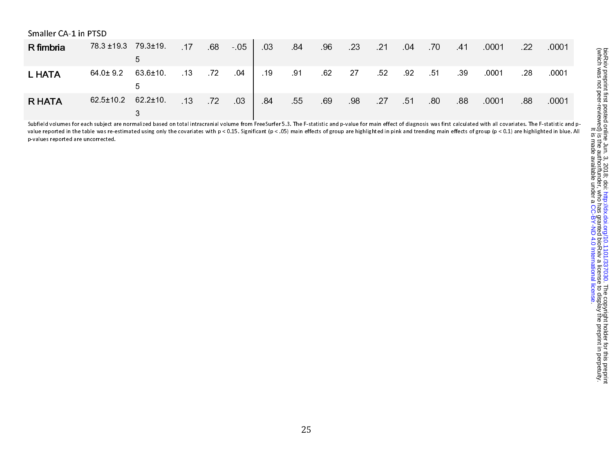| Smaller CA-1 in PTSD |                                |                              |                 |       |       |       |          |     |                |            |    |    |       |       |     |             |
|----------------------|--------------------------------|------------------------------|-----------------|-------|-------|-------|----------|-----|----------------|------------|----|----|-------|-------|-----|-------------|
| R fimbria            | 78 3 ± 19 3 79 3 ± 19          |                              | $-17$           | $-68$ | $-05$ | 03    |          |     | 84 96 23 21 04 |            |    | 70 | $-41$ | 0001  | -22 | $\sim 0001$ |
| <b>L HATA</b>        | $64.0 \pm 9.2$                 | $63.6 \pm 10$<br>$\mathbf b$ | $\overline{13}$ | 72    | 04    | $-19$ | 91 62 27 |     |                | 52         | 92 | 51 | - 39  | .0001 | -28 | .0001       |
| <b>R HATA</b>        | $62.5 \pm 10.2$ $62.2 \pm 10.$ |                              | $\overline{13}$ | 72    | 03    | - 84  | 55       | .69 | - 98           | $27 \t 51$ |    | 80 | -88   | .0001 | 88  | .0001       |

Subfield volumes for each subject are normalized based on total intracranial volume from FreeSurfer 5.3. The F-statistic and p-value for main effect of diagnosis was first calculated with all covariates. The F-statistic an value reported in the table was re-estimated using only the covariates with p < 0.15. Significant (p < .05) main effects of group are highlighted in pink and trending main effects of group (p < 0.1) are highlighted in blue p-values reported are uncorrected.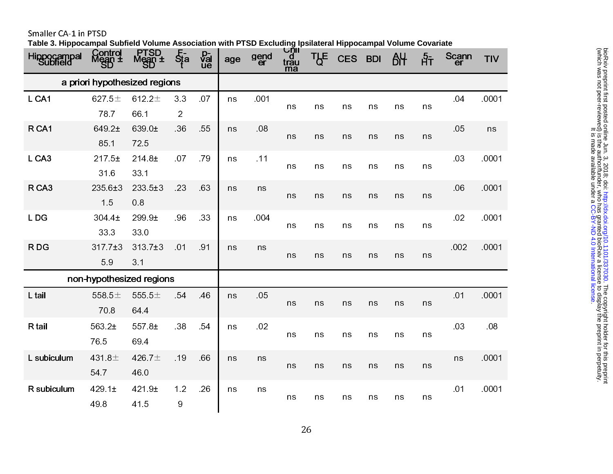Smaller CA-1 in PTSD

**Table 3. Hippocampal Subfield Volume Association with PTSD Excluding Ipsilateral Hippocampal Volume Covariate**

| a priori hypothesized regions                                                                             |       |
|-----------------------------------------------------------------------------------------------------------|-------|
| 627.5 $\pm$<br>612.2 $\pm$<br>33<br>07<br>.001<br>.04<br>L CA1<br>ns<br>ns<br>ns<br>ns<br>ns<br>ns<br>ns  | .0001 |
| 787<br>66 1<br>$\overline{2}$                                                                             |       |
| 55<br>.08<br>05<br>R <sub>CA1</sub><br>649 2±<br>639 0±<br>36<br>ns<br>ns<br>ns<br>ns<br>ns<br>ns<br>ns   | ns    |
| 85 1<br>725                                                                                               |       |
| L CA3<br>07<br>.79<br>.11<br>03<br>217.5±<br>214.8±<br>ns<br>ns<br>ns<br>ns<br>ns<br>ns<br>ns             | .0001 |
| 316<br>33.1                                                                                               |       |
| 63<br>R CA3<br>235 6±3<br>$233.5 \pm 3$<br>.23<br>.06<br>ns<br>ns<br>ns<br>ns<br>ns<br>ns<br>ns<br>ns     | .0001 |
| 15<br>0.8                                                                                                 |       |
| 33<br>.004<br>02<br>LDG<br>304 4±<br>299 9±<br>96<br>ns<br>ns<br>ns<br>ns<br>ns<br>ns<br>ns               | .0001 |
| 33.3<br>330                                                                                               |       |
| .002<br>RDG<br>$317.7 \pm 3$<br>$313.7 \pm 3$<br>01<br>91<br>ns<br>ns<br>ns<br>ns<br>ns<br>ns<br>ns<br>ns | .0001 |
| 59<br>3.1                                                                                                 |       |
| non-hypothesized regions                                                                                  |       |
| L tail<br>54<br>05<br>01<br>558.5 $\pm$<br>555.5 $\pm$<br>.46<br>ns<br>ns<br>ns<br>ns<br>ns<br>ns<br>ns   | .0001 |
| 708<br>64.4                                                                                               |       |
| 02<br>563.2±<br>38<br>54<br>.03<br>R tail<br>557 8±<br>ns<br>ns<br>ns<br>ns<br>ns<br>ns<br>ns             | .08   |
| 765<br>69.4                                                                                               |       |
| 431.8 $\pm$<br>426.7±<br>L subiculum<br>.19<br>66<br>ns<br>ns<br>ns                                       | .0001 |
| ns<br>ns<br>ns<br>ns<br>ns<br>ns<br>54 7<br>46.0                                                          |       |
| 1.2<br>429.1 $\pm$<br>.26<br>.01<br>R subiculum<br>421 9±<br>ns<br>ns                                     | .0001 |
| ns<br>ns<br>ns<br>ns<br>ns<br>ns<br>$\boldsymbol{9}$<br>49.8<br>41.5                                      |       |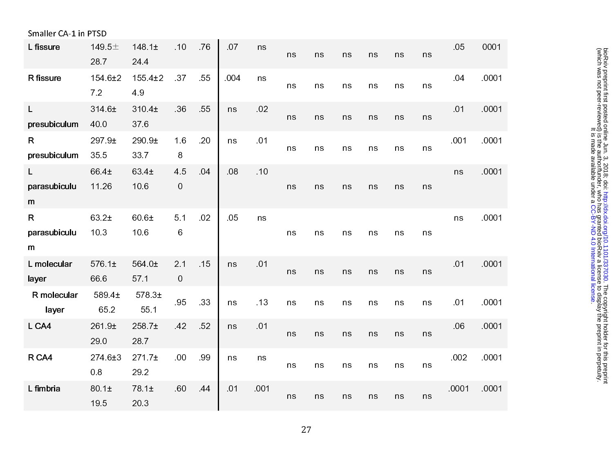| Smaller CA-1 in PTSD              |                     |                            |          |     |     |      |    |    |    |    |    |    |       |       |
|-----------------------------------|---------------------|----------------------------|----------|-----|-----|------|----|----|----|----|----|----|-------|-------|
| L fissure                         | 149.5 $\pm$<br>287  | 148 $1±$<br>24.4           | .10      | .76 | 07  | ns   | ns | ns | ns | ns | ns | ns | 05    | 0001  |
| R fissure                         | 154 6±2<br>72       | $155.4 \pm 2$<br>49        | .37      | 55  | 004 | ns   | ns | ns | ns | ns | ns | ns | 04    | .0001 |
| $\mathsf{L}$<br>presubiculum      | 314 6±<br>40.0      | 310 4±<br>376              | 36       | 55  | ns  | 02   | ns | ns | ns | ns | ns | ns | 01    | 0001  |
| $\mathsf{R}$<br>presubiculum      | 297 9±<br>35 5      | 290 9±<br>337              | 1.6<br>8 | .20 | ns  | 01   | ns | ns | ns | ns | ns | ns | 001   | .0001 |
| L<br>parasubiculu<br>m            | 66 4±<br>11.26      | 63 4±<br>10.6              | 45<br>0  | 04  | 08  | .10  | ns | ns | ns | ns | ns | ns | ns    | .0001 |
| $\mathsf{R}$<br>parasubiculu<br>m | 63.2±<br>10.3       | 60 6±<br>10.6              | 5.1<br>6 | 02  | 05  | ns   | ns | ns | ns | ns | ns | ns | ns    | .0001 |
| L molecular<br>layer              | $576.1 \pm$<br>66.6 | 564 0±<br>57.1             | 2.1<br>0 | 15  | ns  | 01   | ns | ns | ns | ns | ns | ns | 01    | .0001 |
| R molecular<br>layer              | 589 4±<br>65.2      | $578.3+$<br>55 1           | 95       | 33  | ns  | 13   | ns | ns | ns | ns | ns | ns | 01    | .0001 |
| L CA4                             | 261 9±<br>29.0      | 258.7±<br>28.7             | 42       | 52  | ns  | 01   | ns | ns | ns | ns | ns | ns | .06   | .0001 |
| R CA4                             | 274 6±3<br>0.8      | 271.7 <sub>±</sub><br>29.2 | .00      | .99 | ns  | ns   | ns | ns | ns | ns | ns | ns | .002  | .0001 |
| L fimbria                         | 80 1±<br>195        | 78.1±<br>20 3              | 60       | 44  | .01 | .001 | ns | ns | ns | ns | ns | ns | .0001 | .0001 |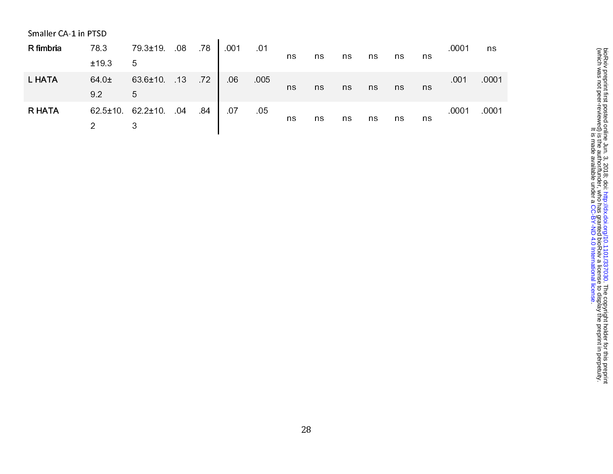| Smaller CA-1 in PTSD |               |               |                 |       |      |     |    |    |    |    |    |    |       |       |
|----------------------|---------------|---------------|-----------------|-------|------|-----|----|----|----|----|----|----|-------|-------|
| R fimbria            | 78.3          | 79 3±19       | 08              | - 78  | .001 | 01  |    |    |    |    |    |    | .0001 | ns.   |
|                      | ±19.3         | 5             |                 |       |      |     | ns | ns | ns | ns | ns | ns |       |       |
| <b>L HATA</b>        | 64 0±         | 63 6±10       | $-13$           | $-72$ | 06   | 005 |    |    |    |    |    |    | .001  | .0001 |
|                      | 9.2           | 5             |                 |       |      |     | ns | ns | ns | ns | ns | ns |       |       |
| <b>R HATA</b>        | $62.5 \pm 10$ | $62.2 \pm 10$ | $\overline{04}$ | 84    | 07   | 05  |    |    |    |    |    |    | .0001 | .0001 |
|                      | 2             | 3             |                 |       |      |     | ns | ns | ns | ns | ns | ns |       |       |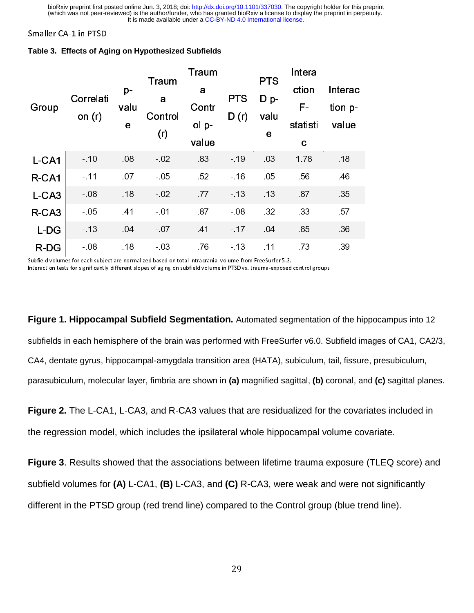|  |  | Table 3. Effects of Aging on Hypothesized Subfields |  |
|--|--|-----------------------------------------------------|--|

| Group             | Correlati<br>on $(r)$ | $p-$<br>valu<br>е | Traum<br>a<br>Control | Traum<br>a<br>Contr<br>ol p- | <b>PTS</b><br>D(r) | <b>PTS</b><br>$Dp -$<br>valu | Intera<br>ction<br>F-<br>statisti | Interac<br>tion p-<br>value |
|-------------------|-----------------------|-------------------|-----------------------|------------------------------|--------------------|------------------------------|-----------------------------------|-----------------------------|
|                   |                       |                   | (r)                   | value                        |                    | е                            | C                                 |                             |
| L-CA1             | $-10$                 | 08                | $-02$                 | 83                           | $-19$              | 03                           | 1.78                              | .18                         |
| R-CA1             | $-11$                 | 07                | $-05$                 | 52                           | $-16$              | 05                           | 56                                | .46                         |
| L-CA3             | $-08$                 | .18               | $-02$                 | 77                           | $-13$              | 13                           | 87                                | 35                          |
| R-CA <sub>3</sub> | $-05$                 | .41               | $-01$                 | 87                           | $-08$              | 32                           | 33                                | 57                          |
| L-DG              | $-13$                 | 04                | $-07$                 | 41                           | $-17$              | 04                           | 85                                | 36                          |
| $R$ -DG           | $-08$                 | .18               | $-03$                 | 76                           | $-13$              | .11                          | 73                                | 39                          |

Subfield volumes for each subject are normalized based on total intracranial volume from FreeSurfer 5.3. Subfield volumes for each subject are normalized based on total intracranial volume from FreeSurfer 5.3.<br>Interesting that for each subject is different from Free Surfer 5.3. The United States of the Herman subset of

Interaction tests for significantly different slopes of aging on subfield volume in PTSD vs. trauma-exposed control groups

**Figure 1. Hippocampal Subfield Segmentation.** Automated segmentation of the hippocampus into 12 subfields in each hemisphere of the brain was performed with FreeSurfer v6.0. Subfield images of CA1, CA2/3, CA4, dentate gyrus, hippocampal-amygdala transition area (HATA), subiculum, tail, fissure, presubiculum, parasubiculum, molecular layer, fimbria are shown in **(a)** magnified sagittal, **(b)** coronal, and **(c)** sagittal planes.

**Figure 2.** The L-CA1, L-CA3, and R-CA3 values that are residualized for the covariates included in the regression model, which includes the ipsilateral whole hippocampal volume covariate.

**Figure 3**. Results showed that the associations between lifetime trauma exposure (TLEQ score) and subfield volumes for **(A)** L-CA1, **(B)** L-CA3, and **(C)** R-CA3, were weak and were not significantly different in the PTSD group (red trend line) compared to the Control group (blue trend line).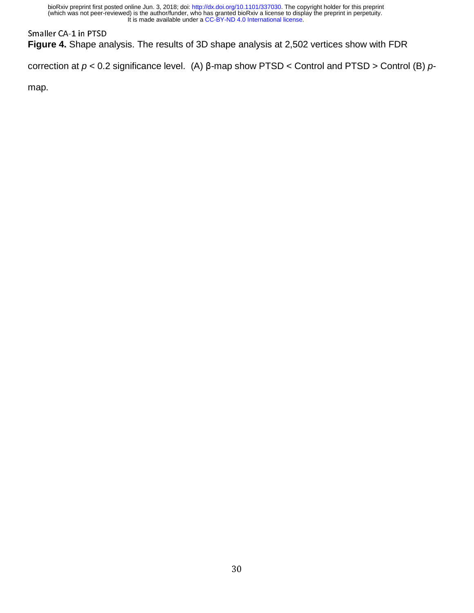**Figure 4.** Shape analysis. The results of 3D shape analysis at 2,502 vertices show with FDR

correction at *p* < 0.2 significance level. (A) β-map show PTSD < Control and PTSD > Control (B) *p*-

map.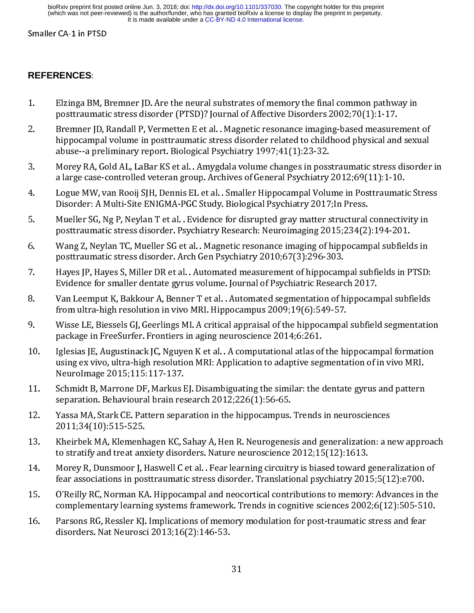## **REFERENCES**:

- $1.$
- 1. Bremner JD. Randall P, Vermetten E et al. . Magnetic resonance imaging-based measurement<br>
hippocampal volume in posttraumatic stress disorder related to childhood physical and sext<br>
abuse --a preliminary report. Biologi Bremner JD, Randall P, Vermetten E et al. . Magnetic resonance imaging-based measure hippocampal volume in posttraumatic stress disorder related to childhood physical and<br>abuse--a preliminary report. Biological Psychiatry 2. Bremsel and the multimally resonance in posttraumatic stress disorder related to childhood physical and sexual<br>
2. Morey RA, Gold AL, LaBar KS et al. . Amygdala volume changes in posstraumatic stress disorder<br>
2. and a
- 
- 
- 
- 
- 
- 
- 
- abuse--a preliminary report. Biological Psychiatry 1997;41(1):23-32.<br>
Morey RA, Gold AL, LaBar KS et al. . Amygdala volume changes in posstraumatic stress disorder<br>
a large case-controlled veteran group. Archives of Genera Morey RA, Gold AL, LaBar KS et al. . Amygdala volume changes in possa<br>a large case-controlled veteran group. Archives of General Psychiatry<br>Logue MW, van Rooij SJH, Dennis EL et al. . Smaller Hippocampal Volu<br>Disorder: A M a large case-controlled veteran group. Archives of General Psychiatry 2012;69(11):1-10.<br>
4. Logue MW, van Rooij SJH, Dennis EL et al. . Smaller Hippocampal Volume in Posttraumatic Stress<br>
Disorder: A Multi-Site ENIGMA-PGC a large MW, van Rooij SJH, Dennis EL et al. . Smaller Hippocampal Volume in Posttraumati<br>Disorder: A Multi-Site ENIGMA-PGC Study. Biological Psychiatry 2017;In Press.<br>Mueller SG, Ng P, Neylan T et al. . Evidence for disrup Disorder: A Multi-Site ENIGMA-PGC Study. Biological Psychiatry 2017;<br>In Press.<br>
5. Mueller SG, Ng P, Neylan T et al. .<br>Evidence for disrupted gray matter structural connectivity in<br>
posttraumatic stress disorder. Psychiat Mueller SG, Ng P, Neylan T et al. . Evidence for disrupted gray matter structural<br>posttraumatic stress disorder. Psychiatry Research: Neuroimaging 2015;234(2)<br>Wang Z, Neylan TC, Mueller SG et al. . Magnetic resonance imagi 1. Muslem States of Mueller SG, Neylandty Research: Neuroimaging 2015;234(2):194-201.<br>
6. Wang Z, Neylan TC, Mueller SG et al. . Magnetic resonance imaging of hippocampal subfields in<br>
1. Haves JP, Haves S, Miller DR et al r<br>Wang Z, Neylan TC, Mueller SG et al. . Magnetic resonance imaging of hippocampal subfield<br>posttraumatic stress disorder. Arch Gen Psychiatry 2010;67(3):296-303.<br>Hayes JP, Hayes S, Miller DR et al. . Automated measurement 9. Butter is a significant of the production of hippocampal subfields in PTSD.<br>
19. Hayes S, Miller DR et al. . Automated measurement of hippocampal subfields in PTSD.<br>
5. Wan Leemput K, Bakkour A, Benner T et al. . Automa Fuyes SP, Hayes S, Miller DR et al. . Automated measurement of hippocam<br>Evidence for smaller dentate gyrus volume. Journal of Psychiatric Researc<br>Van Leemput K, Bakkour A, Benner T et al. . Automated segmentation of h<br>from Evidence for smaller dentate gyrus volume. Journal of Psychiatric Research 2017.<br>
8. Van Leemput K, Bakkour A, Benner T et al. . Automated segmentation of hippocampal subfields<br>
from ultra-high resolution in vivo MRI. Hip Van Leemput K, Bakkour A, Benner T et al. . Automated segmentation of hippocam<br>from ultra-high resolution in vivo MRI. Hippocampus 2009;19(6):549-57.<br>Wisse LE, Biessels GJ, Geerlings MI. A critical appraisal of the hippoca from ultra-high resolution in vivo MRI. Hippocampus 2009;19(6):549-57.<br>
9. Wisse LE, Biessels GJ, Geerlings MI. A critical appraisal of the hippocampal subfield segmentatio<br>
package in FreeSurfer. Frontiers in aging neuro Wisse LE, Biessels GJ, Geerlings MI. A critical appraisal of the hippocampal<br>package in FreeSurfer. Frontiers in aging neuroscience 2014;6:261.<br>Iglesias JE, Augustinack JC, Nguyen K et al. . A computational atlas of the hi package in FreeSurfer. Frontiers in aging neuroscience 2014;6:261.<br>
10. Iglesias JE, Augustinack JC, Nguyen K et al. .A computational atlas of the hippocampal formation<br>
using ex vivo, ultra-high resolution MRI: Applicati Free Surface in Augustinack JC, Nguyen Ketal. A computational atlas of using ex vivo, ultra-high resolution MRI: Application to adaptive seg Neurolmage 2015;115:117-137.<br>Schmidt B, Marrone DF, Markus EJ. Disambiguating the 11. Survive, ultra-high resolution MRI: Application to adaptive segmentation of in vivo MRI:<br>
11. Schmidt B, Marrone DF, Markus EJ. Disambiguating the similar: the dentate gyrus and pattern<br>
11. Schmidt B, Marrone DF, Mark
- Neurolmage 2015;115:117-137.<br>
Schmidt B, Marrone DF, Markus EJ. Disambiguating the similar: the dentate gyrus and pattern<br>
separation. Behavioural brain research 2012;226(1):56-65.<br>
Yassa MA, Stark CE. Pattern separation i Neuroling 2011, 2011<br>Schmidt B, Marrone DF, Markus I<br>separation. Behavioural brain res<br>Yassa MA, Stark CE. Pattern sepa<br>2011;34(10):515-525.<br>Kheirbek MA, Klemenhagen KC, S<br>to stratify and treat anxiety disor<br>Morey R, Dunsm
- 
- separation. Behavioural brain research 2012;226(1):56-65.<br>
12. Yassa MA, Stark CE. Pattern separation in the hippocampus. Trends in neurosciences<br>
2011;34(10):515-525.<br>
13. Kheirbek MA, Klemenhagen KC, Sahay A, Hen R. Neur Framma Framma Framma Framma Framma Framma Processor<br>
Yassa MA, Stark CE. Pattern separation in the hippocampus.<br>
2011;34(10):515-525.<br>
Kheirbek MA, Klemenhagen KC, Sahay A, Hen R. Neurogenes<br>
to stratify and treat anxiety 2011;34(10):515-525.<br>
13. Kheirbek MA, Klemenhagen KC, Sahay A, Hen R. Neurogenesis and generalization: a n<br>
to stratify and treat anxiety disorders. Nature neuroscience 2012;15(12):1613.<br>
14. Morey R, Dunsmoor J, Haswell 2012; 2013; 2013; 2014<br>Kheirbek MA, Klemenh<br>to stratify and treat any<br>Morey R, Dunsmoor J, I<br>fear associations in pos<br>O'Reilly RC, Norman K*k*<br>complementary learnir<br>Parsons RG, Ressler KJ.<br>disorders. Nat Neurosc
- 
- 13. Morey R, Dunsmoor J, Haswell Cet al. . Fear learning circuitry is biased toward generalization of<br>14. Morey R, Dunsmoor J, Haswell Cet al. . Fear learning circuitry is biased toward generalization of<br>15. O'Reilly RC, N
- Morey R, Dunsmoor J, Haswell C et al. . Fear learning circuitry is biased toward fear associations in posttraumatic stress disorder. Translational psychiatry 201<br>O'Reilly RC, Norman KA. Hippocampal and neocortical contribu 14. Moreover, Translational psychiatry 2015;5(12):e700.<br>
14. Moreover, Morman KA. Hippocampal and neocortical contributions to memory: Advances in the<br>
14. Complementary learning systems framework. Trends in cognitive scie Fearly RC, Norman KA. Hippocampal and neocortical contributions to memory: Advances in<br>complementary learning systems framework. Trends in cognitive sciences 2002;6(12):505-51<br>Parsons RG, Ressler KJ. Implications of memory 15. O'Reilly RC, Norman KA. Hippocampal and neocortical contributions to memory: Advances in the complementary learning systems framework. Trends in cognitive sciences 2002;6(12):505-510.<br>
16. Parsons RG, Ressler KJ. Impli Parsons RG, Ressler KJ. Implications of memory modulation for post-traumatic stress and fear disorders. Nat Neurosci 2013;16(2):146-53.<br>31 disorders. Nat Neurosci 2013;16(2):146-53.<br>31 disorders. Nat Neurosci 2013;16(2):146-53.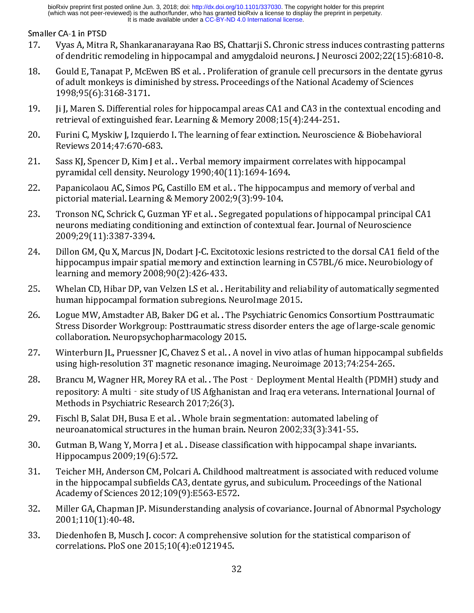- Smaller CA-1 in PTSD<br>17. Vyas A, Mitra R, Shankaranarayana Rao BS, Chattarji S. Chronic stress induces contrasting patterns
- of dendritic remodeling in hippocampal and amygdaloid neurons. J Neurosci 2002;22(15):6810-8.<br>
18. Gould E, Tanapat P, McEwen BS et al. . Proliferation of granule cell precursors in the dentate gyrus<br>
of adult monkeys is Gould E, Tanapat P, McEwen BS et al. . Proliferation of granule cell precursors in the dentate gyrus of adult monkeys is diminished by stress. Proceedings of the National Academy of Sciences 1998;95(6):3168-3171.<br>
Jji J, M
- 
- 
- 
- 
- 1998;95(6):3168-3171.<br>
1j J, Maren S. Differential roles for hippocampal areas CA1 and CA3 in the contextual encodinetrieval of extinguished fear. Learning & Memory 2008;15(4):244–251.<br>
Furini C, Myskiw J, Izquierdo I. The Ji J, Maren S. Differential<br>retrieval of extinguished<br>Furini C, Myskiw J, Izquic<br>Reviews 2014;47:670-6<br>Sass KJ, Spencer D, Kim J<br>pyramidal cell density. N<br>Papanicolaou AC, Simos<br>pictorial material. Learn<br>Tronson NC, Schric Furini C, Myskiw J, Izquierdo I. The learning of fear extinction. Neuroscie<br>Reviews 2014;47:670-683.<br>Sass KJ, Spencer D, Kim J et al. . Verbal memory impairment correlates w<br>pyramidal cell density. Neurology 1990;40(11):16 Reviews 2014;47:670-683.<br>
21. Sass KJ, Spencer D, Kim J et al.. Verbal memory impairment correlates with hippocampal<br>
pyramidal cell density. Neurology 1990;40(11):1694-1694.<br>
22. Paparicolaou AC, Simos PG, Castillo EM et Entertal 2023, Elemental Consol<br>Sass KJ, Spencer D, Kim J et<br>pyramidal cell density. Neur<br>Papanicolaou AC, Simos PG,<br>pictorial material. Learning<br>Tronson NC, Schrick C, Guzr<br>neurons mediating conditio<br>2009;29(11):3387-3394 22. Papanicolaou AC, Simos PG, Castillo EM et al. . The hippocampus and memory of verbal are pictorial material. Learning & Memory 2002;9(3):99-104.<br>
23. Tronson NC, Schrick C, Guzman YF et al. . Segregated populations of Papanicolaou AC, Simos PG, Castillo EM et al. . The hippocam<br>pictorial material. Learning & Memory 2002;9(3):99-104.<br>Tronson NC, Schrick C, Guzman YF et al. . Segregated popula<br>neurons mediating conditioning and extinction
- of adult monkeys is diminished by stress. Proceedings of the National Academy of Sciences<br>
1998;95(6):3168-3171.<br>
19. JJ, Maren S. Differential roles for hippocampal areas CA1 and CA3 in the contextual encoding and<br>
19. JJ 19. Ji J), Ji J, Marcus IN, Dodart J-C. Excitotoxic Issions restricted to the original roles for hippocampal Reviews 2014;47:670-683.<br>
19. Furnii C, Myskiw J, Izquierdo I. The learning of fear extinction. Neuroscience & Bi
- 
- 
- 
- pictorial material. Learning & Memory 2002;9(3):99-104.<br>
22. Tronson NC, Schrick C, Guzman YF et al. . Segregated populations of hippocampal principal neurons mediating conditioning and extinction of contextual fear. Journ procession NC, Schrick C, Guzman YF et al. . Segregated popu<br>neurons mediating conditioning and extinction of context<br>2009;29(11):3387-3394.<br>Dillon GM, Qu X, Marcus JN, Dodart J-C. Excitotoxic lesions<br>hippocampus impair sp neurons mediating conditioning and extinction of contextual fear. Journal of Neuroscience<br>
2009;29(11):3387-3394.<br>
Dillon GM, Qu X, Marcus JN, Dodart J-C. Excitotoxic lesions restricted to the dorsal CA1 field of the<br>
hipp 2009;29(11):3387-3394.<br>
Dillon GM, Qu X, Marcus JN, Dodart J-C. Excitotoxic lesions restricted to the dorsal CA1 field<br>
hippocampus impair spatial memory and extinction learning in C57BL/6 mice. Neurobiolo<br>
learning and me Dillon GM, Qu X, Marcus J<br>hippocampus impair spat<br>learning and memory 200<br>Whelan CD, Hibar DP, van<br>human hippocampal form<br>Logue MW, Amstadter AB<br>Stress Disorder Workgrou<br>collaboration. Neuropsycl<br>Winterburn JL, Pruessner<br>u 122. https://emiatrics.org/matrics.org/matrics.org/matrics.org/matrics.org/matrics.org/matrics.org/matrics.org/matrics.org/matrics.org/matrics.org/matrics.org/matrics.org/matrics.org/matrics.org/matrics.org/matrics.org/mat Hearning and memory 2008;90(2):426-433.<br>
Whelan CD, Hibar DP, van Velzen LS et al. . Heritability and reliability of automatically segmente<br>
human hippocampal formation subregions. Neurolmage 2015.<br>
Logue MW, Amstadter AB, naming memoritory 2008; (2):228.226.23.<br>Whelan CD, Hibar DP, van Velzen LS et al. . F<br>human hippocampal formation subregions.<br>Logue MW, Amstadter AB, Baker DG et al. . T<br>Stress Disorder Workgroup: Posttraumatic collaborati 26. Logue MW, Amstadter AB, Baker DG et al. . The Psychiatric Genomics Consortium Posttraumatic<br>26. Logue MW, Amstadter AB, Baker DG et al. . The Psychiatric Genomics Consortium Posttraumatic<br>27. Winterburing Vortex Disord Logue MW, Amstadter AB, Baker DG et al. . The Psychiatric Gen<br>Stress Disorder Workgroup: Posttraumatic stress disorder entes<br>collaboration. Neuropsychopharmacology 2015.<br>Winterburn JL, Pruessner JC, Chavez S et al. . A nov Stress Disorder Workgroup: Posttraumatic stress disorder enters the age of large-scale genomic<br>
collaboration. Neuropsychopharmacology 2015.<br>
27. Winterburn JL, Pruessner JC, Chavez Set al. . A novel in vivo atlas of human collaboration. Neuropsychopharmacology 2015.<br>
Winterburn JL, Pruessner JC, Chavez S et al. . A novel in vivo atlas of human hippocampal subfield<br>
using high-resolution 3T magnetic resonance imaging. Neuroimage 2013;74:254-Winterburn JL, Pruessner JC, Chavez S et al. . A not using high-resolution 3T magnetic resonance imagnetic resonance imagnetic resonance imagnetic synch and the site study of US Afghanistar Methods in Psychiatric Research using high-resolution 3T magnetic resonance imaging. Neuroimage 2013;74:254-265.<br>
28. Brancu M, Wagner HR, Morey RA et al. . The Post Deployment Mental Health (PDMH) study and<br>
repository: A multi - site study of US Afgha Brancu M, Wagner HR, Morey RA et al. . The Post - Deployment Mental Health (PDMH)<br>repository: A multi - site study of US Afghanistan and Iraq era veterans. International)<br>Methods in Psychiatric Research 2017;26(3).<br>Fischl
- 
- 
- repository: A multi site study of US Afghanistan and Iraq era veterans. International Journal of<br>Methods in Psychiatric Research 2017;26(3).<br>29. Fisch B, Salat DH, Busa E et al. . Whole brain segmentation: automated labe Methods in Psychiatric Research 2017;26(3).<br>
Fischl B, Salat DH, Busa E et al. . Whole brain segmentation: automated labeling of<br>
neuroanatomical structures in the human brain. Neuron 2002;33(3):341-55.<br>
Gutman B, Wang Y, Fischl B, Salat DH, Busa E et al. . Whole brain s<br>neuroanatomical structures in the human bra<br>Gutman B, Wang Y, Morra J et al. . Disease clas<br>Hippocampus 2009;19(6):572.<br>Teicher MH, Anderson CM, Polcari A. Childhoo<br>in the 19. Fischland B, Warral et al. . Disease classification with hippocampal shape in Hippocampus 2009;19(6):572.<br>
29. Fischer MH, Anderson CM, Polcari A. Childhood maltreatment is associated with rin the hippocampus 2009;19(6 neuronan B, Wang Y, Morra J et al. . Disease classification with hippocampus 2009;19(6):572.<br>Teicher MH, Anderson CM, Polcari A. Childhood maltreatment is associated win the hippocampus 2009;19(6):572.<br>Teicher MH, Anderson Hippocampus 2009;19(6):572.<br>
31. Teicher MH, Anderson CM, Polcari A. Childhood maltreatment is associated with reduced vo<br>
in the hippocampal subfields CA3, dentate gyrus, and subiculum. Proceedings of the Nationa<br>
Academy Teicher MH, Anderson CM, Polc<br>in the hippocampal subfields CA<br>Academy of Sciences 2012;109<br>Miller GA, Chapman JP. Misunde<br>2001;110(1):40-48.<br>Diedenhofen B, Musch J. cocor:<br>correlations. PloS one 2015;10( in the hippocampal subfields CA3, dentate gyrus, and subiculum. Proceedings of the National<br>Academy of Sciences 2012;109(9):E563-E572.<br>32. Miller GA, Chapman JP. Misunderstanding analysis of covariance. Journal of Abnormal
- Academy of Sciences 2012;109(9):E563-E572.<br>
Miller GA, Chapman JP. Misunderstanding analysis of covariance. Journal of Abnormal Psycho<br>
2001;110(1):40-48.<br>
Diedenhofen B, Musch J. cocor: A comprehensive solution for the st Miller GA, Chapman JP. Misunderstanding analy<br>2001;110(1):40-48.<br>Diedenhofen B, Musch J. cocor: A comprehensiv<br>correlations. PloS one 2015;10(4):e0121945.<br>32
- $2001;110(1):40-48.$ <br>33. Diedenhofen B, Musch J. cocor: A comprehensive solution for the statistical comparison of correlations. PloS one  $2015;10(4):e0121945.$ <br>32 Diedenhofen B, Muse<br>correlations. PloS on<br>the set of the Son and Son and Son and Son and Son and Son and Son and Son and Son and Son and Son and Son and Son and Son and Son and Son and Son and Son and Son and Son and Son a  $32$ <br>  $32$ correlations. Plos one 2015;<br>10(4):<br>10(4): 01(4): 01(4): 01(4): 01(4): 01(4): 01(4): 01(4): 01(4): 01(4): 01(4): 01(4): 01(4): 01(4): 01(4): 01(4)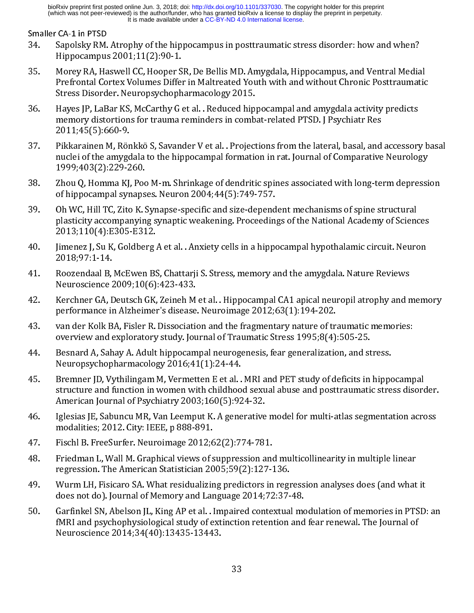- Smaller CA-1 in PTSD<br>34. Sapolsky RM. Atrophy of the hippocampus in posttraumatic stress disorder: how and when?
- Hippocampus 2001;11(2):90-1.<br>
35. Morey RA, Haswell CC, Hooper SR, De Bellis MD. Amygdala, Hippocampus, and Ventral Media<br>
Prefrontal Cortex Volumes Differ in Maltreated Youth with and without Chronic Posttraumat<br>
Stress Morey RA, Haswell CC, Hooper S<br>Prefrontal Cortex Volumes Diffe:<br>Stress Disorder. Neuropsychoph<br>Hayes JP, LaBar KS, McCarthy G<br>memory distortions for trauma 1<br>2011;45(5):660-9.<br>Pikkarainen M, Rönkkö S, Savan<br>nuclei of the a
- 
- 
- 
- Prefrontal Cortex Volumes Differ in Maltreated Youth with and without Chronic Posttraumatic<br>Stress Disorder. Neuropsychopharmacology 2015.<br>Hays JP, LaBar KS, McCarthy G et al. . Reduced hippocampal and amygdala activity p Stress Disorder. Neuropsychopharmacology 2015.<br>
Hayes JP, LaBar KS, McCarthy G et al. . Reduced hippocampal and amygdala activity predicts<br>
memory distortions for trauma reminders in combat-related PTSD. J Psychiatr Res<br>
2 Hayes JP, LaBar KS, McCarthy G et al. . Reduced hip,<br>memory distortions for trauma reminders in comb<br>2011;45(5):660-9.<br>Pikkarainen M, Rönkkö S, Savander V et al. . Project<br>nuclei of the amygdala to the hippocampal formatic memory distortions for trauma reminders in combat-related PTSD. J Psychiatr Res<br>
2011;45(5):660-9.<br>
Pikkarainen M, Rönkkö S, Savander V et al. . Projections from the lateral, basal, and accessory<br>
nuclei of the amygdala to 2011;45(5):660-9.<br>
Pikkarainen M, Rönkkö S, Savander V et al. . Projections from the lateral, basal, and<br>
nuclei of the amygdala to the hippocampal formation in rat. Journal of Comparative<br>
1999;403(2):229-260.<br>
Zhou Q, H Pikkarainen M, Rör<br>nuclei of the amygo<br>1999;403(2):229-2<br>Zhou Q, Homma KJ,<br>of hippocampal syr<br>Oh WC, Hill TC, Zitc<br>plasticity accompar<br>2013;110(4):E305-<br>Jimenez J, Su K, Gol<br>2018;97:1-14.<br>Roozendaal B, McE<br>Neuroscience 200 nuclei of the amygdala to the hippocampal formation in rat. Journal of Comparative Neurology<br>
1999;403(2):229-260.<br>
38. Zhou Q, Homma KJ, Poo M-m. Shrinkage of dendritic spines associated with long-term depression<br>
58. Oh 1999;403(2):229-260.<br>
Zhou Q, Homma KJ, Poo M-m. Shrinkage of dendritic spines associated with long-term depressiof hippocampal synapses. Neuron 2004;44(5):749-757.<br>
Oh WC, Hill TC, Zito K. Synapse-specific and size-depen Zhou Q, Homma KJ, Poo<br>of hippocampal synaps<br>Oh WC, Hill TC, Zito K. S<br>plasticity accompanyin<br>2013;110(4):E305-E31<br>Jimenez J, Su K, Goldbe:<br>2018;97:1-14.<br>Roozendaal B, McEwen<br>Neuroscience 2009;10<br>Kerchner GA, Deutsch (<br>perf of the W.C. Hill TC, Zito K. Synapse-specific and size-depend<br>plasticity accompanying synaptic weakening. Proceedin,<br>2013;110(4):E305-E312.<br>Jimenez J, Su K, Goldberg A et al. . Anxiety cells in a hippo<br>2018;97:1-14.<br>Roozen
- 
- 
- 
- 
- 
- 38. In MCC Constraines as Neuron 2004;44(5):749-757.<br>
39. Oh WC, Hill TC, Zito K. Synapse-specific and size-dependent mechanisms of spine structural<br>
plasticity accompanying synaptic weakening. Proceedings of the National plasticity accompanying synaptic weakening. Proceedings of the National Academy of Science 2013;110(4):E305-E312.<br>
40. Jimenez J, Su K, Goldberg A et al. . Anxiety cells in a hippocampal hypothalamic circuit. Neure 1009:97  $\frac{1}{2}$  2013;110(4):E305-E312.<br>
Jimenez J, Su K, Goldberg A et al. . Anxiety cells in a hippocampal hypothalamic circuit. Neuron<br>
2018;97:1-14.<br>
Roozendaal B, McEwen BS, Chattarji S. Stress, memory and the amygdala. Nat Jimenez J, Su K, Goldberg,<br>2018;97:1-14.<br>Roozendaal B, McEwen B?<br>Neuroscience 2009;10(6)<br>Kerchner GA, Deutsch GK,<br>performance in Alzheimer<br>van der Kolk BA, Fisler R.<br>overview and exploratory<br>Besnard A, Sahay A. Adult<br>Neuro 2018;97:1-14.<br>
41. Roozendaal B, McEwen BS, Chattarji S. Stress, memory and the amygdala. Nature Reviews<br>
Neuroscience 2009;10(6):423-433.<br>
42. Kerchner GA, Deutsch GK, Zeineh Met al. . Hippocampal CA1 apical neuropil atr Roozendaal B,<br>Reuroscience 2<br>Kerchner GA, I<br>performance in<br>van der Kolk B<br>overview and 6<br>Besnard A, Sah<br>Neuropsychop<br>Bremner JD, V<sub>J</sub><br>structure and f<br>American Jour:<br>Iglesias JE, Sab<br>modalities; 20<br>Fischl B. FreeS<br>Friedman Neuroscience 2009;10(6):423-433.<br>
42. Kerchner GA, Deutsch GK, Zeineh M et al. . Hippocampal CA1 apical neuropil atrophy and neuroframance in Alzheimer's disease. Neuroimage 2012;63(1):194-202.<br>
43. var der Kolk BA, Fisler Kerchner GA, Deutsch GK, Zeineh M<br>performance in Alzheimer's disease<br>van der Kolk BA, Fisler R. Dissociatio<br>overview and exploratory study. Jou<br>Besnard A, Sahay A. Adult hippocam<br>Neuropsychopharmacology 2016;4:<br>Bremner JD, performance in Alzheimer's disease. Neuroimage 2012;63(1):194-202.<br>
43. van der Kolk BA, Fisler R. Dissociation and the fragmentary nature of traumatic memories:<br>
overview and exploratory study. Journal of Traumatic Stress performance in Alzheimer's disease. Neuroimage 2012;63(1):194-202.<br>van der Kolk BA, Fisler R. Dissociation and the fragmentary nature of tra<br>overview and exploratory study. Journal of Traumatic Stress 1995;8(4)<br>Besnard A, overview and exploratory study. Journal of Traumatic Stress 1995;8(4):505-25.<br>
44. Besnard A, Sahay A. Adult hippocampal neurogenesis, fear generalization, and stress.<br>
Neuropsychopharmacology 2016;41(1):24-44.<br>
45. Ferem Besnard A, Sahay A. Adult hippocampal neurogenesis, fear generalization, and st<br>Neuropsychopharmacology 2016;41(1):24-44.<br>Bremner JD, Vythilingam M, Vermetten E et al. . MRI and PET study of deficits in<br>structure and funct Neuropsychopharmacology  $2016;41(1):24-44$ .<br>
45. Bremner JD, Vythilingam M, Vermetten E et al. . MRI and PET study of deficits in hippocarructure and function in women with childhood sexual abuse and posttraumatic stre<br>
46 Bremner JD, Vythilingam M, Vermetten E et al..<br>structure and function in women with childhoo<br>American Journal of Psychiatry 2003;160(5):92<br>Iglesias JE, Sabuncu MR, Van Leemput K. A gene<br>modalities; 2012. City: IEEE, p 888-
- 
- 
- 
- 
- structure and function in women with childhood sexual abuse and posttraumatic stress disore<br>American Journal of Psychiatry 2003;160(5):924-32.<br>46. Iglesias JE, Sabuncu MR, Van Leemput K. A generative model for multi-atlas American Journal of Psychiatry 2003;160(5):924-32.<br>
Iglesias JE, Sabuncu MR, Van Leemput K. A generative model for multi-atlas segmentation across<br>
modalities; 2012. City: IEEE, p 888-891.<br>
Fischl B. FreeSurfer. Neuroimage Firstnam Journal of Politics, 2012, 2012<br>
Iglesias JE, Sabuncu MR, Van Leemput K. A generative<br>
modalities; 2012. City: IEEE, p 888-891.<br>
Fischl B. FreeSurfer. Neuroimage 2012;62(2):774-78?<br>
Friedman L, Wall M. Graphical v modalities; 2012. City: IEEE, p 888-891.<br>
47. Fischl B. FreeSurfer. Neuroimage 2012;62(2):774-781.<br>
48. Friedman L, Wall M. Graphical views of suppression and multicollinearity in multiple linear<br>
regression. The American modalities; 2012. Presenting Presenting<br>Fischl B. FreeSurfer. Neuroimage 2012; 6<br>Friedman L, Wall M. Graphical views of s<br>regression. The American Statistician 20<br>Wurm LH, Fisicaro SA. What residualizir<br>does not do). Journ 48. Friedman L, Wall M. Graphical views of suppression and<br>regression. The American Statistician 2005;59(2):127-1<br>Wurm LH, Fisicaro SA. What residualizing predictors in<br>does not do). Journal of Memory and Language 2014;72<br> regression. The American Statistician 2005;59(2):127-136.<br>
49. Wurm LH, Fisicaro SA. What residualizing predictors in regression analyses does (and what<br>
does not do). Journal of Memory and Language 2014;72:37-48.<br>
50. Gar regression. The Wurm LH, Fisicaro SA. What residualizing predictors in regressions not do). Journal of Memory and Language 2014;72:37-<br>Garfinkel SN, Abelson JL, King AP et al. . Impaired contextual<br>fMRI and psychophysiolog does not do). Journal of Memory and Language 2014;72:37-48.<br>
50. Garfinkel SN, Abelson JL, King AP et al. . Impaired contextual modulation of memories in PTSD<br>
fMRI and psychophysiological study of extinction retention and Garfinkel SN, Abelson JL, King AP et al. . Impaired contextual more fMRI and psychophysiological study of extinction retention and Neuroscience 2014;34(40):13435-13443.<br>  $33$ 50. FINRI and psychophysiological study of extinction retention and fear renewal. The Journal of<br>Neuroscience 2014;34(40):13435-13443.<br>33 FMRI and psychophysics and fear respectively. The Homeleville respectively of the Journal of the Journal of the Journal of the Journal of the Journal of the Journal of the Journal of the Journal of the Journal of the Jour Neuroscience 2014;34(40):13435-13443.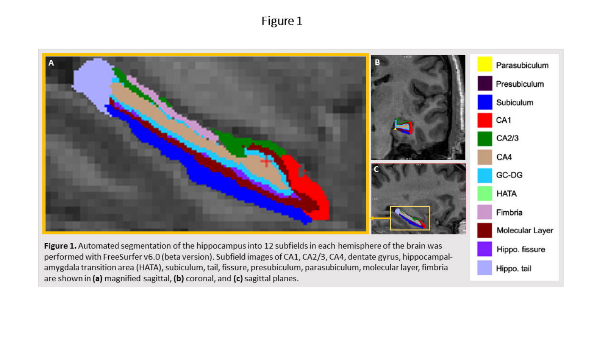# Figure 1

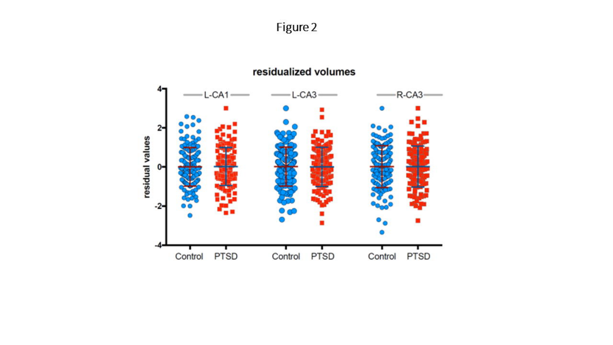Figure 2

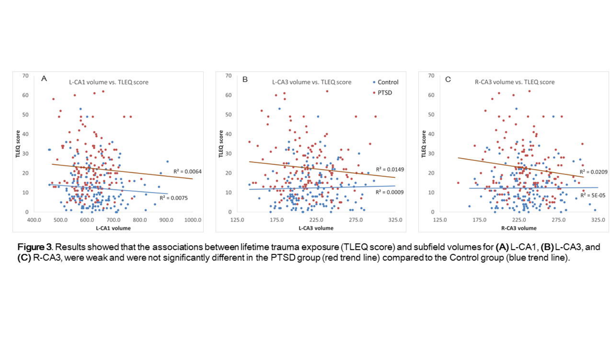

Figure 3. Results showed that the associations between lifetime trauma exposure (TLEQ score) and subfield volumes for (A) L-CA1, (B) L-CA3, and (C) R-CA3, were weak and were not significantly different in the PTSD group (red trend line) compared to the Control group (blue trend line).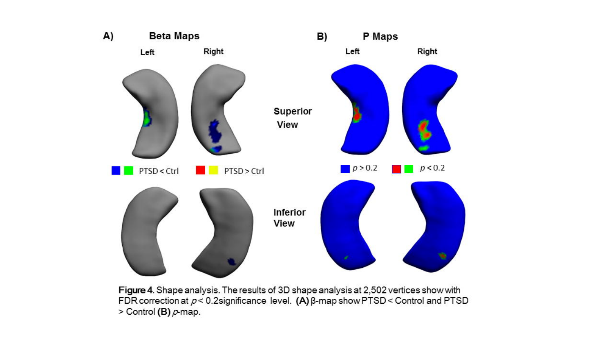

Figure 4. Shape analysis. The results of 3D shape analysis at 2,502 vertices show with FDR correction at  $p < 0.2$ significance level. (A)  $\beta$ -map show PTSD < Control and PTSD > Control (B)  $\rho$ -map.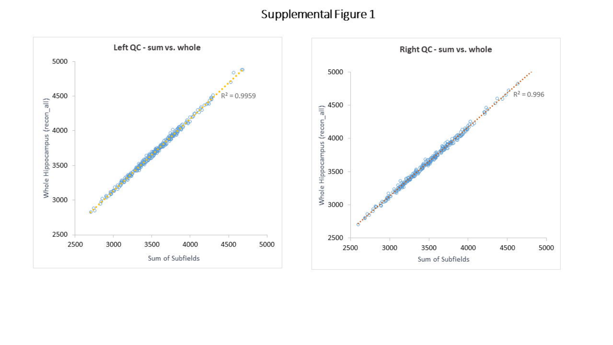# Supplemental Figure 1

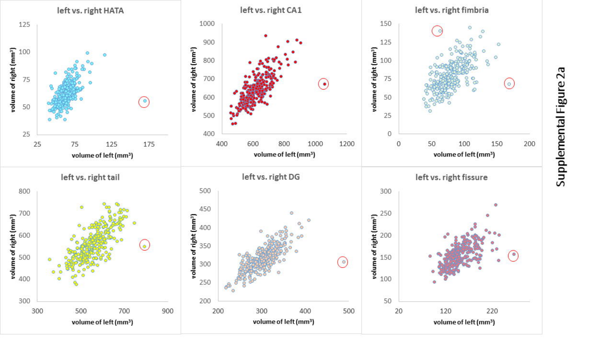

Supplemental Figure 2a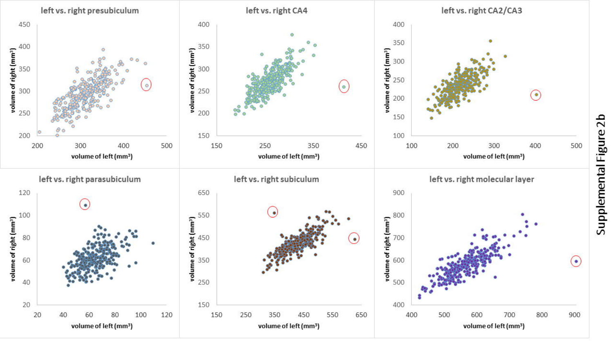

Supplemental Figure 2b